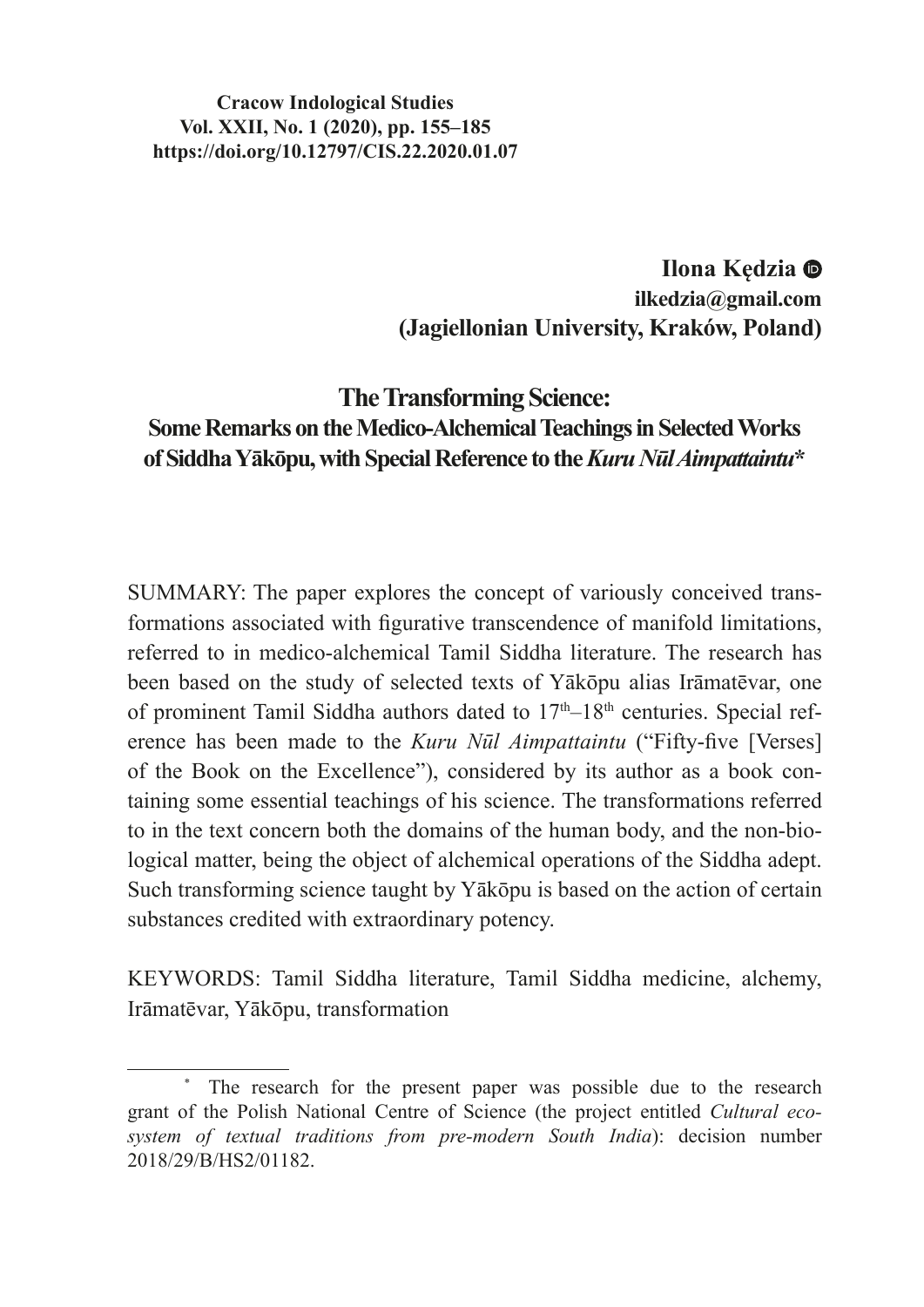#### **Cracow Indological Studies Vol. XXII, No. 1 (2020), pp. 155–185 https://doi.org/10.12797/CIS.22.2020.01.07**

**Ilona Kędzia ilkedzia@gmail.com (Jagiellonian University, Kraków, Poland)**

# **The Transforming Science: Some Remarks on the Medico-Alchemical Teachings in Selected Works of Siddha Yākōpu, with Special Reference to the** *Kuru Nūl Aimpattaintu***\***

SUMMARY: The paper explores the concept of variously conceived transformations associated with figurative transcendence of manifold limitations, referred to in medico-alchemical Tamil Siddha literature. The research has been based on the study of selected texts of Yākōpu alias Irāmatēvar, one of prominent Tamil Siddha authors dated to  $17<sup>th</sup>-18<sup>th</sup>$  centuries. Special reference has been made to the *Kuru Nūl Aimpattaintu* ("Fifty-five [Verses] of the Book on the Excellence"), considered by its author as a book containing some essential teachings of his science. The transformations referred to in the text concern both the domains of the human body, and the non-biological matter, being the object of alchemical operations of the Siddha adept. Such transforming science taught by Yākōpu is based on the action of certain substances credited with extraordinary potency.

KEYWORDS: Tamil Siddha literature, Tamil Siddha medicine, alchemy, Irāmatēvar, Yākōpu, transformation

The research for the present paper was possible due to the research grant of the Polish National Centre of Science (the project entitled *Cultural ecosystem of textual traditions from pre-modern South India*): decision number 2018/29/B/HS2/01182.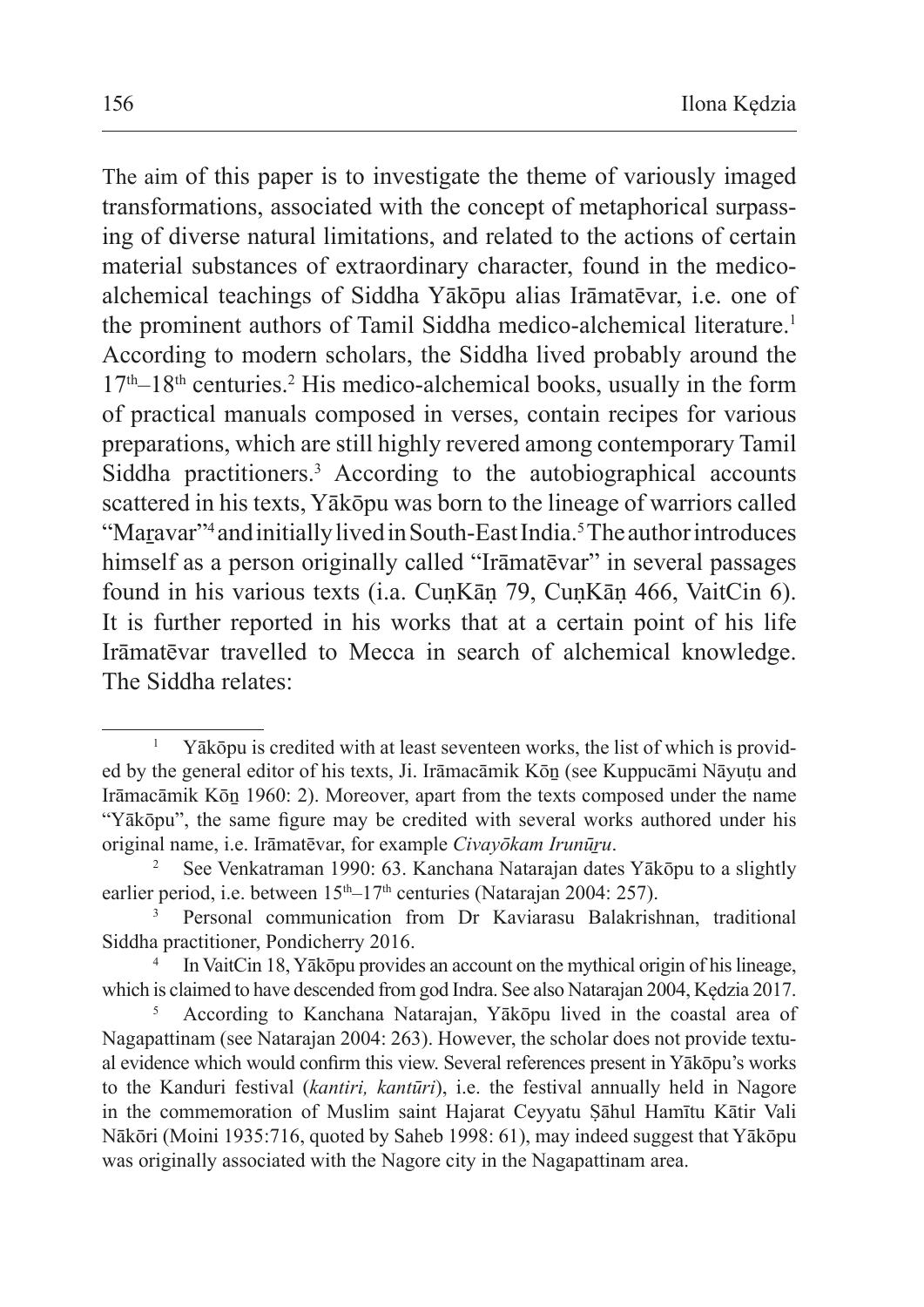The aim of this paper is to investigate the theme of variously imaged transformations, associated with the concept of metaphorical surpassing of diverse natural limitations, and related to the actions of certain material substances of extraordinary character, found in the medicoalchemical teachings of Siddha Yākōpu alias Irāmatēvar, i.e. one of the prominent authors of Tamil Siddha medico-alchemical literature.<sup>1</sup> According to modern scholars, the Siddha lived probably around the  $17<sup>th</sup> - 18<sup>th</sup>$  centuries.<sup>2</sup> His medico-alchemical books, usually in the form of practical manuals composed in verses, contain recipes for various preparations, which are still highly revered among contemporary Tamil Siddha practitioners.3 According to the autobiographical accounts scattered in his texts, Yākōpu was born to the lineage of warriors called "Maṟavar"<sup>4</sup> and initially lived inSouth-East India.5 Theauthor introduces himself as a person originally called "Irāmatēvar" in several passages found in his various texts (i.a. CuṇKāṇ 79, CuṇKāṇ 466, VaitCin 6). It is further reported in his works that at a certain point of his life Irāmatēvar travelled to Mecca in search of alchemical knowledge. The Siddha relates:

<sup>&</sup>lt;sup>1</sup> Yākōpu is credited with at least seventeen works, the list of which is provided by the general editor of his texts, Ji. Irāmacāmik Kōṉ (see Kuppucāmi Nāyuṭu and Irāmacāmik Kōṉ 1960: 2). Moreover, apart from the texts composed under the name "Yākōpu", the same figure may be credited with several works authored under his original name, i.e. Irāmatēvar, for example *Civayōkam Irunūṟu*. 2 See Venkatraman 1990: 63. Kanchana Natarajan dates Yākōpu to <sup>a</sup> slightly

earlier period, i.e. between  $15<sup>th</sup>-17<sup>th</sup>$  centuries (Natarajan 2004: 257).

<sup>3</sup> Personal communication from Dr Kaviarasu Balakrishnan, traditional Siddha practitioner, Pondicherry 2016.

In VaitCin 18, Yākōpu provides an account on the mythical origin of his lineage, which is claimed to have descended from god Indra. See also Natarajan 2004, Kędzia 2017.

<sup>5</sup> According to Kanchana Natarajan, Yākōpu lived in the coastal area of Nagapattinam (see Natarajan 2004: 263). However, the scholar does not provide textual evidence which would confirm this view. Several references present in Yākōpu's works to the Kanduri festival (*kantiri, kantūri*), i.e. the festival annually held in Nagore in the commemoration of Muslim saint Hajarat Ceyyatu Ṣāhul Hamītu Kātir Vali Nākōri (Moini 1935:716, quoted by Saheb 1998: 61), may indeed suggest that Yākōpu was originally associated with the Nagore city in the Nagapattinam area.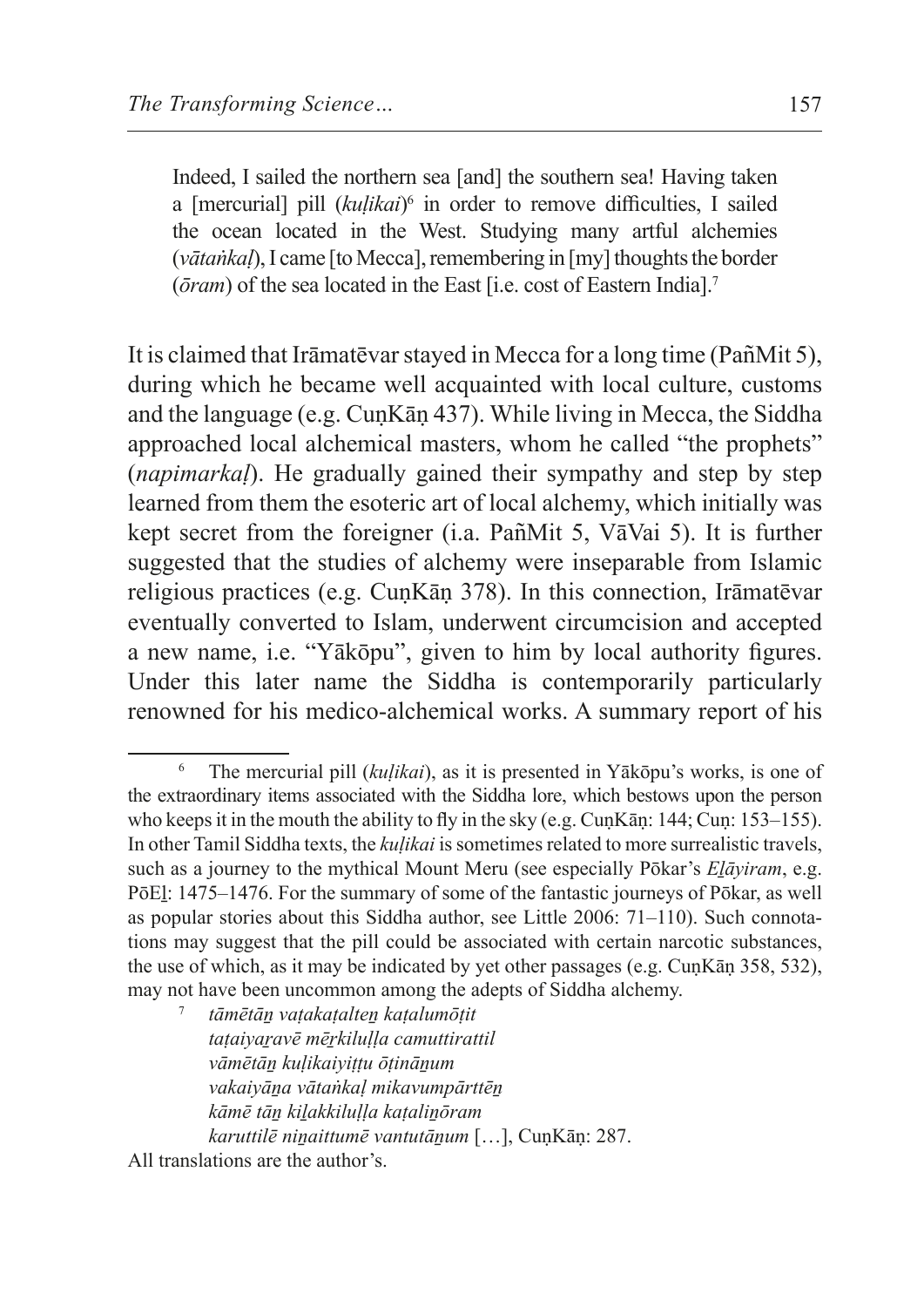Indeed, I sailed the northern sea [and] the southern sea! Having taken a [mercurial] pill (*kuḷikai*) 6 in order to remove difficulties, I sailed the ocean located in the West. Studying many artful alchemies (*vātaṅkal*), I came [to Mecca], remembering in [my] thoughts the border (*ōram*) of the sea located in the East [i.e. cost of Eastern India].<sup>7</sup>

It is claimed that Irāmatēvar stayed in Mecca for a long time (Pan͂Mit 5), during which he became well acquainted with local culture, customs and the language (e.g. CuṇKāṇ 437). While living in Mecca, the Siddha approached local alchemical masters, whom he called "the prophets" (*napimarkaḷ*). He gradually gained their sympathy and step by step learned from them the esoteric art of local alchemy, which initially was kept secret from the foreigner (i.a. Pan͂Mit 5, VāVai 5). It is further suggested that the studies of alchemy were inseparable from Islamic religious practices (e.g. CuṇKāṇ 378). In this connection, Irāmatēvar eventually converted to Islam, underwent circumcision and accepted a new name, i.e. "Yākōpu", given to him by local authority figures. Under this later name the Siddha is contemporarily particularly renowned for his medico-alchemical works. A summary report of his

<sup>7</sup> *tāmētāṉ vaṭakaṭalteṉ kaṭalumōṭit taṭaiyaṟavē mēṟkiluḷḷa camuttirattil vāmētāṉ kuḷikaiyiṭṭu ōṭināṉum vakaiyāṉa vātaṅkaḷ mikavumpārttēṉ kāmē tāṉ kiḻakkiluḷḷa kaṭaliṉōram karuttilē niṉaittumē vantutāṉum* […], CuṇKāṇ: 287.

<sup>6</sup> The mercurial pill (*kuḷikai*), as it is presented in Yākōpu's works, is one of the extraordinary items associated with the Siddha lore, which bestows upon the person who keeps it in the mouth the ability to fly in the sky (e.g. CunKan:  $144$ ; Cun:  $153-155$ ). In other Tamil Siddha texts, the *kuḷikai* issometimes related to more surrealistic travels, such as a journey to the mythical Mount Meru (see especially Pōkar's *Eḻāyiram*, e.g. PōEl: 1475–1476. For the summary of some of the fantastic journeys of Pōkar, as well as popular stories about this Siddha author, see Little 2006: 71–110). Such connotations may suggest that the pill could be associated with certain narcotic substances, the use of which, as it may be indicated by yet other passages (e.g. CuṇKāṇ 358, 532), may not have been uncommon among the adepts of Siddha alchemy.

All translations are the author's.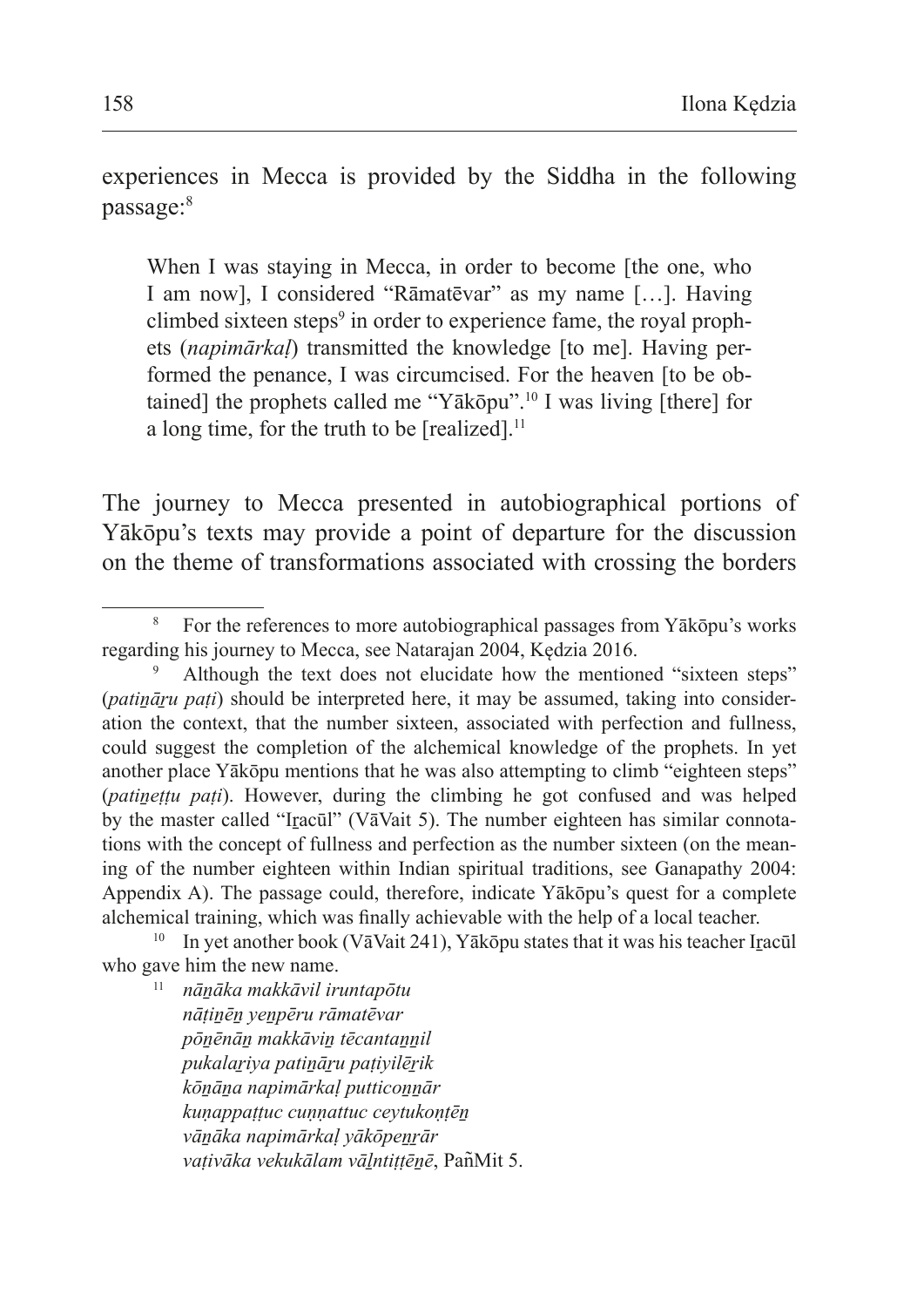experiences in Mecca is provided by the Siddha in the following passage:8

When I was staying in Mecca, in order to become [the one, who I am now], I considered "Rāmatēvar" as my name […]. Having climbed sixteen steps<sup>9</sup> in order to experience fame, the royal prophets (*napimārkaḷ*) transmitted the knowledge [to me]. Having performed the penance, I was circumcised. For the heaven [to be obtained] the prophets called me "Yākōpu".10 I was living [there] for a long time, for the truth to be [realized].<sup>11</sup>

The journey to Mecca presented in autobiographical portions of Yākōpu's texts may provide a point of departure for the discussion on the theme of transformations associated with crossing the borders

*nāṭiṉēṉ yeṉpēru rāmatēvar pōṉēnāṉ makkāviṉ tēcantaṉṉil pukalaṟiya patiṉāṟu paṭiyilēṟik kōṉāṉa napimārkaḷ putticoṉṉār kuṇappaṭṭuc cuṇṇattuc ceytukoṇṭēṉ vāṉāka napimārkaḷ yākōpeṉṟār vaṭivāka vekukālam vāḻntiṭṭēṉē*, Pan͂Mit 5.

<sup>8</sup> For the references to more autobiographical passages from Yākōpu's works regarding his journey to Mecca, see Natarajan 2004, Kędzia 2016.

Although the text does not elucidate how the mentioned "sixteen steps" (*patināru pati*) should be interpreted here, it may be assumed, taking into consideration the context, that the number sixteen, associated with perfection and fullness, could suggest the completion of the alchemical knowledge of the prophets. In yet another place Yākōpu mentions that he was also attempting to climb "eighteen steps" (*patinettu pati*). However, during the climbing he got confused and was helped by the master called "Iracūl" (VāVait 5). The number eighteen has similar connotations with the concept of fullness and perfection as the number sixteen (on the meaning of the number eighteen within Indian spiritual traditions, see Ganapathy 2004: Appendix A). The passage could, therefore, indicate Yākōpu's quest for a complete alchemical training, which was finally achievable with the help of a local teacher.

<sup>&</sup>lt;sup>10</sup> In yet another book (VāVait 241), Yākōpu states that it was his teacher Ircacūl who gave him the new name.<br><sup>11</sup> *nānāka makkāvil iruntapōtu*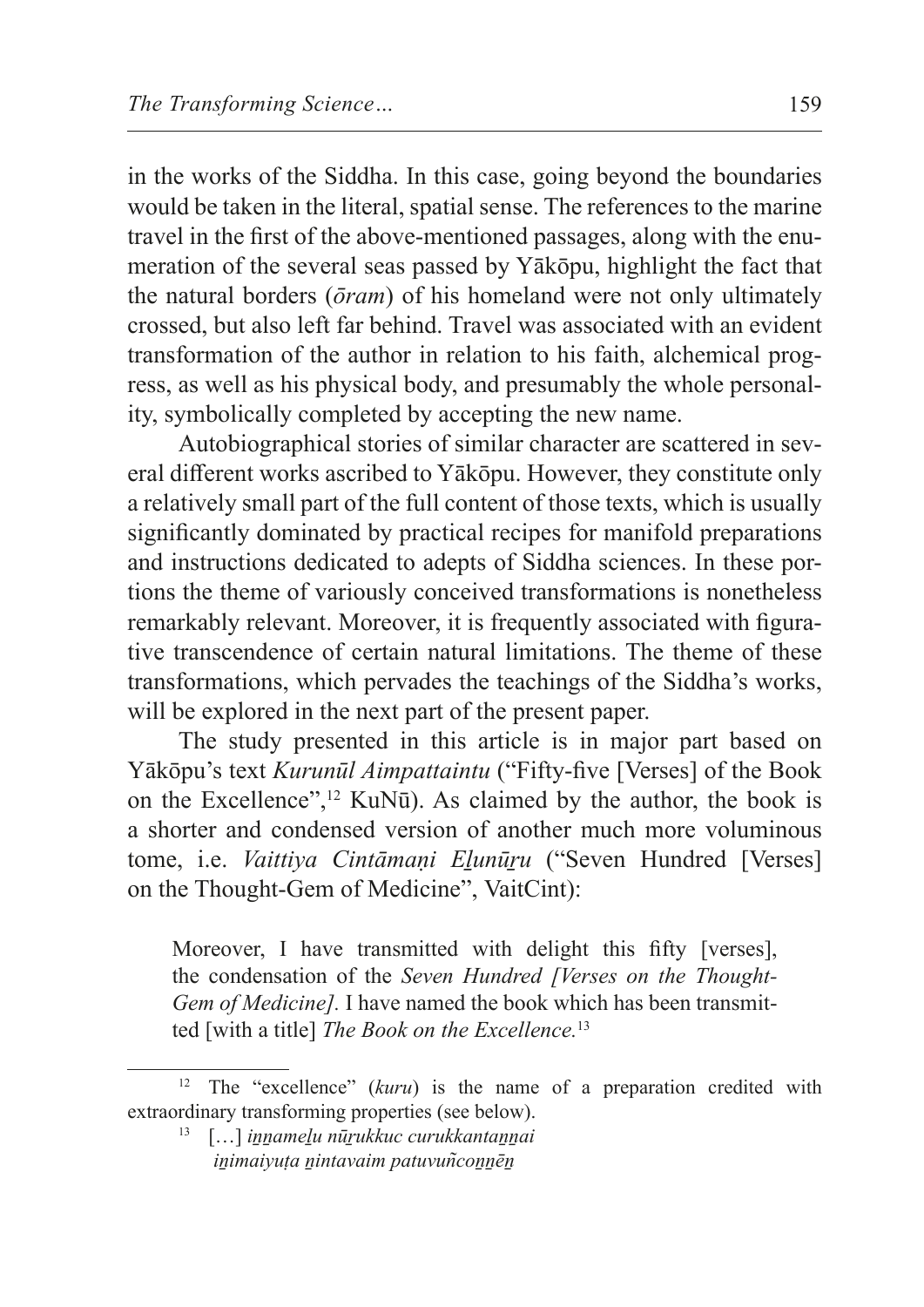in the works of the Siddha. In this case, going beyond the boundaries would be taken in the literal, spatial sense. The references to the marine travel in the first of the above-mentioned passages, along with the enumeration of the several seas passed by Yākōpu, highlight the fact that the natural borders (*ōram*) of his homeland were not only ultimately crossed, but also left far behind. Travel was associated with an evident transformation of the author in relation to his faith, alchemical progress, as well as his physical body, and presumably the whole personality, symbolically completed by accepting the new name.

Autobiographical stories of similar character are scattered in several different works ascribed to Yākōpu. However, they constitute only a relatively small part of the full content of those texts, which is usually significantly dominated by practical recipes for manifold preparations and instructions dedicated to adepts of Siddha sciences. In these portions the theme of variously conceived transformations is nonetheless remarkably relevant. Moreover, it is frequently associated with figurative transcendence of certain natural limitations. The theme of these transformations, which pervades the teachings of the Siddha's works, will be explored in the next part of the present paper.

The study presented in this article is in major part based on Yākōpu's text *Kurunūl Aimpattaintu* ("Fifty-five [Verses] of the Book on the Excellence",<sup>12</sup> KuN $\bar{u}$ ). As claimed by the author, the book is a shorter and condensed version of another much more voluminous tome, i.e. *Vaittiva Cintāmani Elunūru* ("Seven Hundred [Verses] on the Thought-Gem of Medicine", VaitCint):

Moreover, I have transmitted with delight this fifty [verses], the condensation of the *Seven Hundred [Verses on the Thought-Gem of Medicine].* I have named the book which has been transmitted [with a title] *The Book on the Excellence.*<sup>13</sup>

<sup>&</sup>lt;sup>12</sup> The "excellence" (kuru) is the name of a preparation credited with extraordinary transforming properties (see below).

<sup>13</sup> […] *iṉṉameḻu nūṟukkuc curukkantaṉṉai iṉimaiyuṭa ṉintavaim patuvun͂coṉṉēṉ*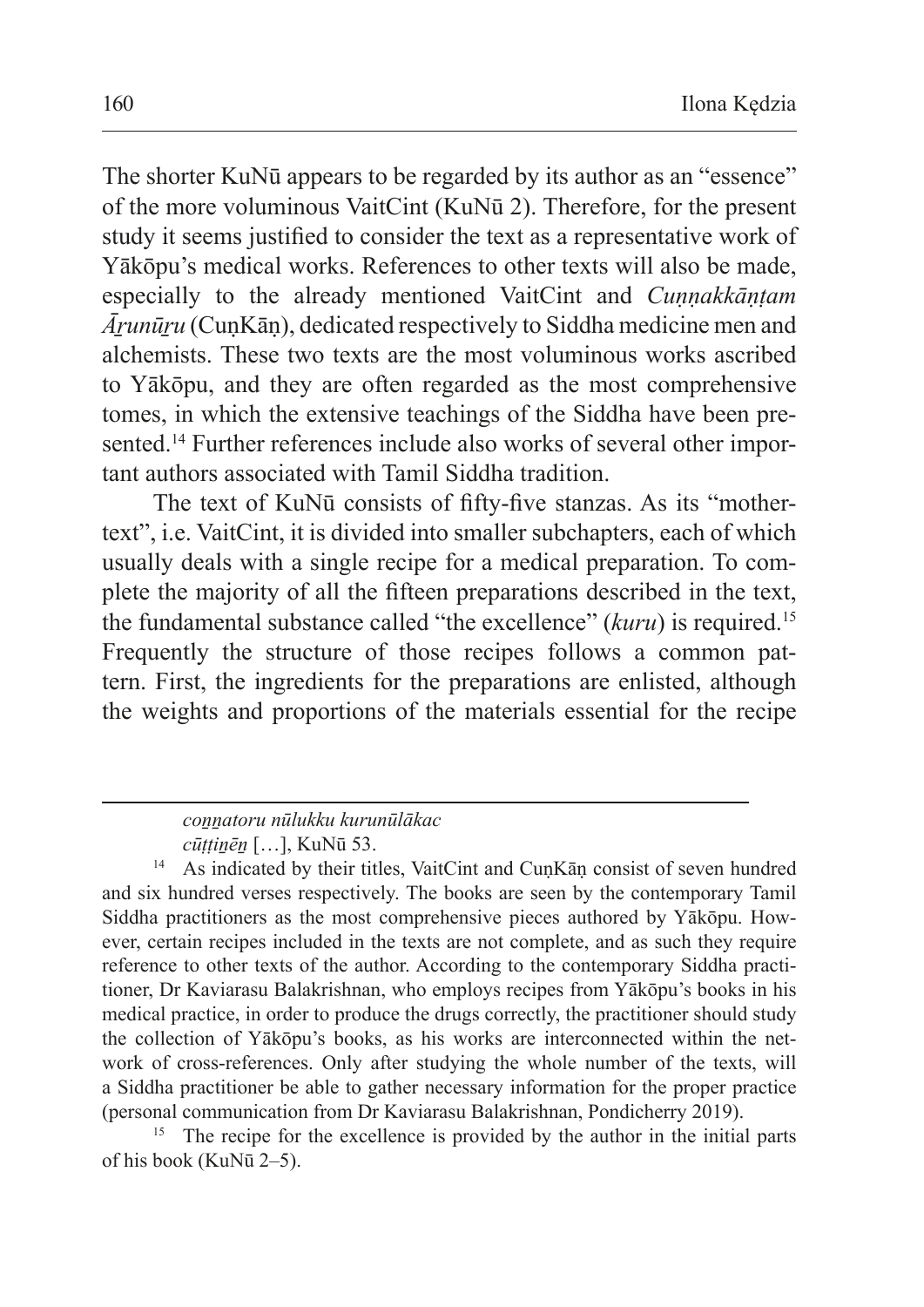The shorter KuNū appears to be regarded by its author as an "essence" of the more voluminous VaitCint (KuNū 2). Therefore, for the present study it seems justified to consider the text as a representative work of Yākōpu's medical works. References to other texts will also be made, especially to the already mentioned VaitCint and *Cuṇṇakkāṇṭam Āṟunūṟu* (CuṇKāṇ), dedicated respectively to Siddha medicine men and alchemists. These two texts are the most voluminous works ascribed to Yākōpu, and they are often regarded as the most comprehensive tomes, in which the extensive teachings of the Siddha have been presented.14 Further references include also works of several other important authors associated with Tamil Siddha tradition.

The text of KuNū consists of fifty-five stanzas. As its "mothertext", i.e. VaitCint, it is divided into smaller subchapters, each of which usually deals with a single recipe for a medical preparation. To complete the majority of all the fifteen preparations described in the text, the fundamental substance called "the excellence" (*kuru*) is required.<sup>15</sup> Frequently the structure of those recipes follows a common pattern. First, the ingredients for the preparations are enlisted, although the weights and proportions of the materials essential for the recipe

<sup>14</sup> As indicated by their titles, VaitCint and CuṇKāṇ consist of seven hundred and six hundred verses respectively. The books are seen by the contemporary Tamil Siddha practitioners as the most comprehensive pieces authored by Yākōpu. However, certain recipes included in the texts are not complete, and as such they require reference to other texts of the author. According to the contemporary Siddha practitioner, Dr Kaviarasu Balakrishnan, who employs recipes from Yākōpu's books in his medical practice, in order to produce the drugs correctly, the practitioner should study the collection of Yākōpu's books, as his works are interconnected within the network of cross-references. Only after studying the whole number of the texts, will a Siddha practitioner be able to gather necessary information for the proper practice (personal communication from Dr Kaviarasu Balakrishnan, Pondicherry 2019).

<sup>15</sup> The recipe for the excellence is provided by the author in the initial parts of his book (KuNū 2–5).

*coṉṉatoru nūlukku kurunūlākac*

*cūṭṭiṉēṉ* […], KuNū 53.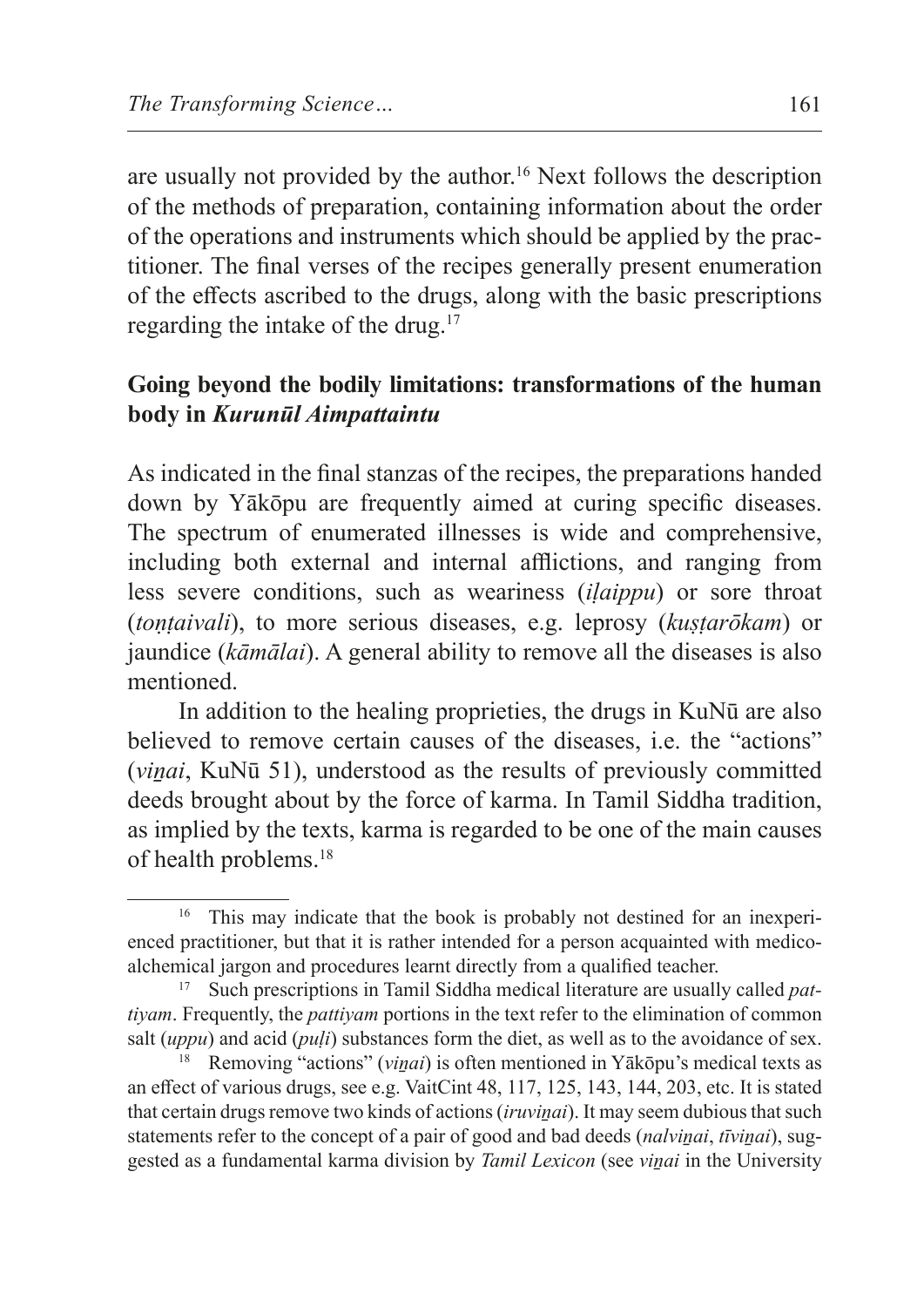are usually not provided by the author.<sup>16</sup> Next follows the description of the methods of preparation, containing information about the order of the operations and instruments which should be applied by the practitioner. The final verses of the recipes generally present enumeration of the effects ascribed to the drugs, along with the basic prescriptions regarding the intake of the drug.17

## **Going beyond the bodily limitations: transformations of the human body in** *Kurunūl Aimpattaintu*

As indicated in the final stanzas of the recipes, the preparations handed down by Yākōpu are frequently aimed at curing specific diseases. The spectrum of enumerated illnesses is wide and comprehensive, including both external and internal afflictions, and ranging from less severe conditions, such as weariness (*iḷaippu*) or sore throat (*toṇṭaivali*), to more serious diseases, e.g. leprosy (*kuṣṭarōkam*) or jaundice (*kāmālai*). A general ability to remove all the diseases is also mentioned.

In addition to the healing proprieties, the drugs in KuNū are also believed to remove certain causes of the diseases, i.e. the "actions" (*viṉai*, KuNū 51), understood as the results of previously committed deeds brought about by the force of karma. In Tamil Siddha tradition, as implied by the texts, karma is regarded to be one of the main causes of health problems.18

<sup>&</sup>lt;sup>16</sup> This may indicate that the book is probably not destined for an inexperienced practitioner, but that it is rather intended for a person acquainted with medicoalchemical jargon and procedures learnt directly from a qualified teacher.

Such prescriptions in Tamil Siddha medical literature are usually called *pattiyam*. Frequently, the *pattiyam* portions in the text refer to the elimination of common salt (*uppu*) and acid (*puḷi*) substances form the diet, as well as to the avoidance of sex.

<sup>&</sup>lt;sup>18</sup> Removing "actions" (*vinai*) is often mentioned in Yākōpu's medical texts as an effect of various drugs, see e.g. VaitCint 48, 117, 125, 143, 144, 203, etc. It is stated that certain drugs remove two kinds of actions *(iruvinai)*. It may seem dubious that such statements refer to the concept of a pair of good and bad deeds (*nalvinai*, *tīvinai*), suggested as a fundamental karma division by *Tamil Lexicon* (see *viṉai* in the University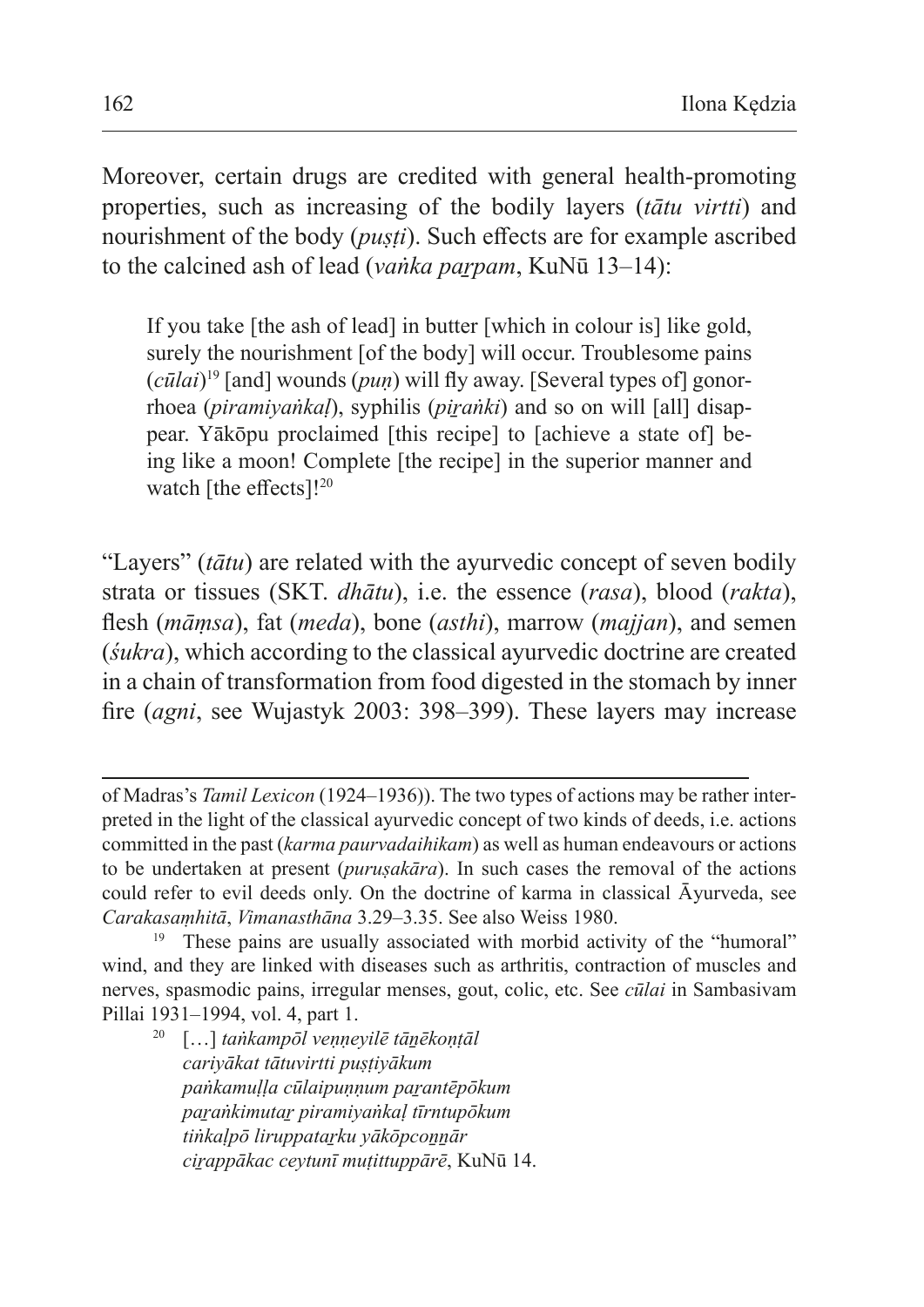Moreover, certain drugs are credited with general health-promoting properties, such as increasing of the bodily layers (*tātu virtti*) and nourishment of the body (*puṣṭi*). Such effects are for example ascribed to the calcined ash of lead (*vaṅka parpam*, KuNū 13–14):

If you take [the ash of lead] in butter [which in colour is] like gold, surely the nourishment [of the body] will occur. Troublesome pains (*cūlai*)19 [and] wounds (*puṇ*) will fly away. [Several types of] gonorrhoea (*piramiyaṅkaḷ*), syphilis (*piṟaṅki*) and so on will [all] disappear. Yākōpu proclaimed [this recipe] to [achieve a state of] being like a moon! Complete [the recipe] in the superior manner and watch [the effects]!<sup>20</sup>

"Layers" (*tātu*) are related with the ayurvedic concept of seven bodily strata or tissues (SKT. *dhātu*), i.e. the essence (*rasa*), blood (*rakta*), flesh (*māṃsa*), fat (*meda*), bone (*asthi*), marrow (*majjan*), and semen (*śukra*), which according to the classical ayurvedic doctrine are created in a chain of transformation from food digested in the stomach by inner fire (*agni*, see Wujastyk 2003: 398–399). These layers may increase

<sup>20</sup> […] *taṅkampōl veṇṇeyilē tāṉēkoṇṭāl cariyākat tātuvirtti puṣṭiyākum paṅkamuḷḷa cūlaipuṇṇum paṟantēpōkum paṟaṅkimutaṟ piramiyaṅkaḷ tīrntupōkum tiṅkaḷpō liruppataṟku yākōpcoṉṉār ciṟappākac ceytunī muṭittuppārē*, KuNū 14.

of Madras's *Tamil Lexicon* (1924–1936)). The two types of actions may be rather interpreted in the light of the classical ayurvedic concept of two kinds of deeds, i.e. actions committed in the past (*karma paurvadaihikam*) as well as human endeavours or actions to be undertaken at present (*puruṣakāra*). In such cases the removal of the actions could refer to evil deeds only. On the doctrine of karma in classical Āyurveda, see *Carakasaṃhitā*, *Vimanasthāna* 3.29–3.35. See also Weiss 1980.

<sup>&</sup>lt;sup>19</sup> These pains are usually associated with morbid activity of the "humoral" wind, and they are linked with diseases such as arthritis, contraction of muscles and nerves, spasmodic pains, irregular menses, gout, colic, etc. See *cūlai* in Sambasivam Pillai 1931–1994, vol. 4, part 1.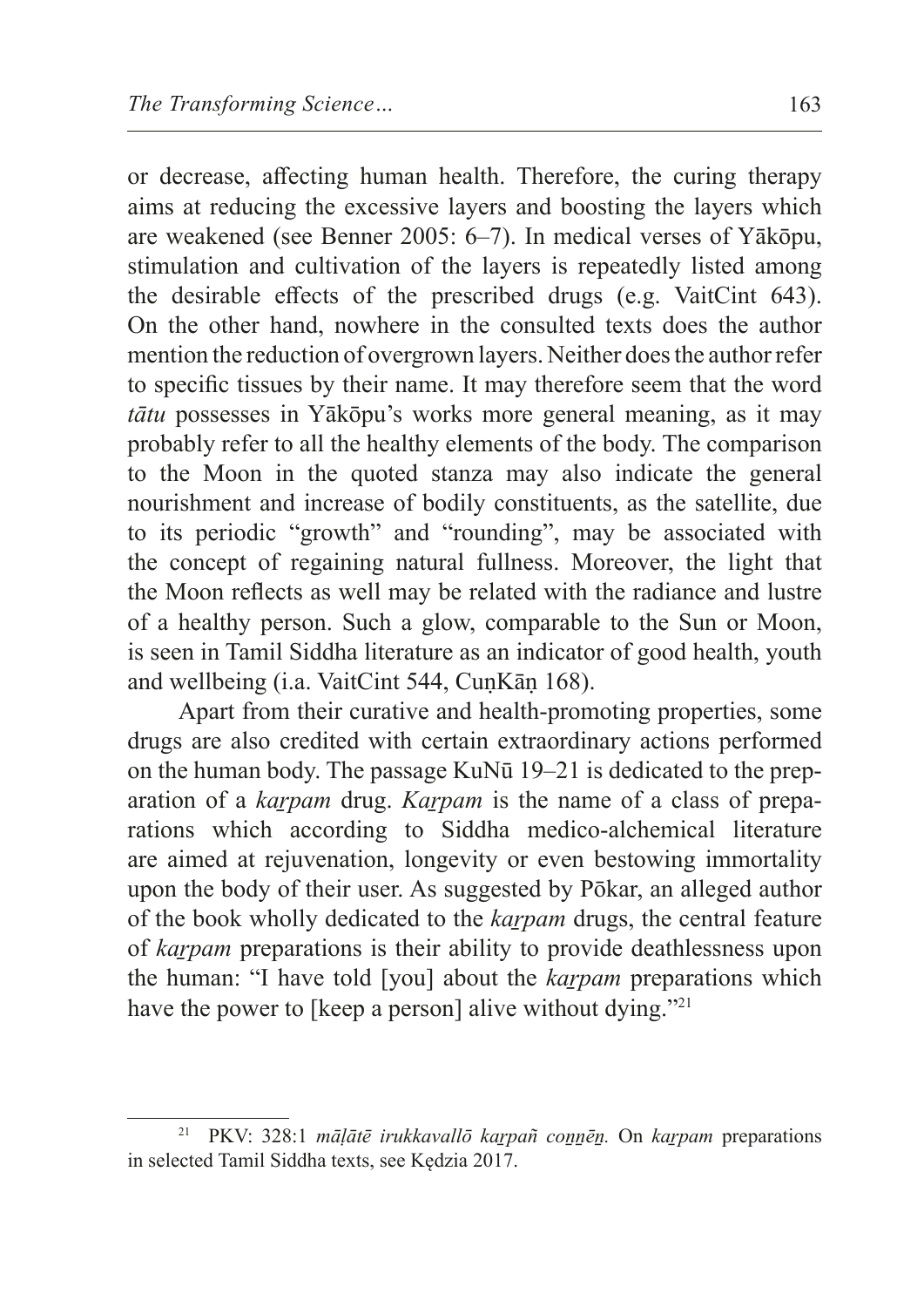or decrease, affecting human health. Therefore, the curing therapy aims at reducing the excessive layers and boosting the layers which are weakened (see Benner 2005: 6–7). In medical verses of Yākōpu, stimulation and cultivation of the layers is repeatedly listed among the desirable effects of the prescribed drugs (e.g. VaitCint 643). On the other hand, nowhere in the consulted texts does the author mention the reduction of overgrown layers. Neither does the author refer to specific tissues by their name. It may therefore seem that the word *tātu* possesses in Yākōpu's works more general meaning, as it may probably refer to all the healthy elements of the body. The comparison to the Moon in the quoted stanza may also indicate the general nourishment and increase of bodily constituents, as the satellite, due to its periodic "growth" and "rounding", may be associated with the concept of regaining natural fullness. Moreover, the light that the Moon reflects as well may be related with the radiance and lustre of a healthy person. Such a glow, comparable to the Sun or Moon, is seen in Tamil Siddha literature as an indicator of good health, youth and wellbeing (i.a. VaitCint 544, CuṇKāṇ 168).

Apart from their curative and health-promoting properties, some drugs are also credited with certain extraordinary actions performed on the human body. The passage KuNū 19–21 is dedicated to the preparation of a *kaṟpam* drug. *Kaṟpam* is the name of a class of preparations which according to Siddha medico-alchemical literature are aimed at rejuvenation, longevity or even bestowing immortality upon the body of their user. As suggested by Pōkar, an alleged author of the book wholly dedicated to the *kaṟpam* drugs, the central feature of *kaṟpam* preparations is their ability to provide deathlessness upon the human: "I have told [you] about the *karpam* preparations which have the power to [keep a person] alive without dying."<sup>21</sup>

<sup>21</sup> PKV: 328:1 *māḷātē irukkavallō kaṟpañ coṉṉēṉ.* On *kaṟpam* preparations in selected Tamil Siddha texts, see Kędzia 2017.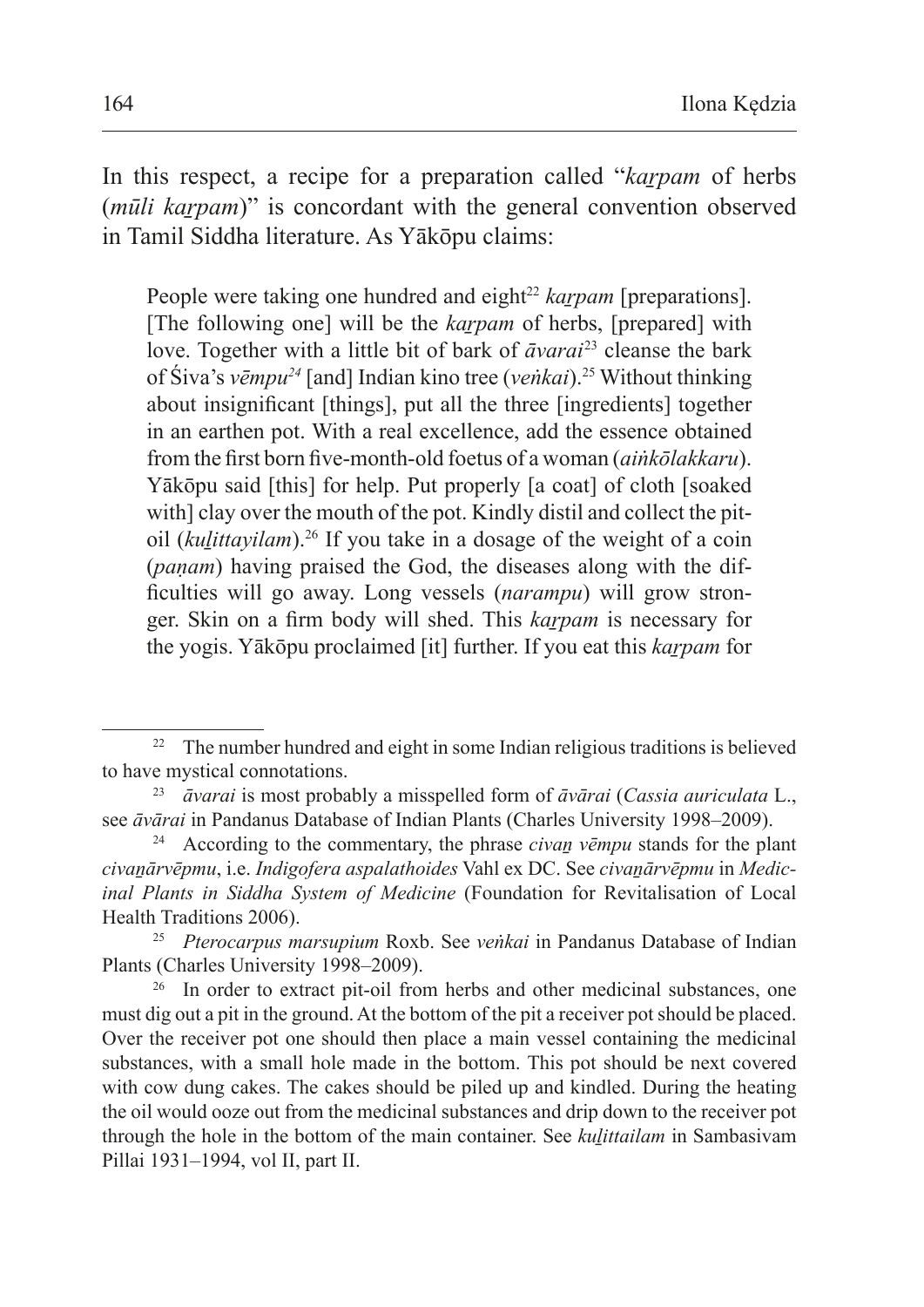In this respect, a recipe for a preparation called "*kaṟpam* of herbs (*mūli karpam*)" is concordant with the general convention observed in Tamil Siddha literature. As Yākōpu claims:

People were taking one hundred and eight<sup>22</sup> *karpam* [preparations]. [The following one] will be the *karpam* of herbs, [prepared] with love. Together with a little bit of bark of *āvarai*23 cleanse the bark of Śiva's *vēmpu24* [and] Indian kino tree (*veṅkai*).25 Without thinking about insignificant [things], put all the three [ingredients] together in an earthen pot. With a real excellence, add the essence obtained from the first born five-month-old foetus of a woman (*aiṅkōlakkaru*). Yākōpu said [this] for help. Put properly [a coat] of cloth [soaked with] clay over the mouth of the pot. Kindly distil and collect the pitoil (*kuḻittayilam*).26 If you take in a dosage of the weight of a coin (*paṇam*) having praised the God, the diseases along with the difficulties will go away. Long vessels (*narampu*) will grow stronger. Skin on a firm body will shed. This *karpam* is necessary for the yogis. Yākōpu proclaimed [it] further. If you eat this *karpam* for

<sup>&</sup>lt;sup>22</sup> The number hundred and eight in some Indian religious traditions is believed to have mystical connotations. 23 *āvarai* is most probably a misspelled form of *āvārai* (*Cassia auriculata* L.,

see *āvārai* in Pandanus Database of Indian Plants (Charles University 1998–2009).<br><sup>24</sup> According to the commentary, the phrase *civan vēmpu* stands for the pla

According to the commentary, the phrase *civan vēmpu* stands for the plant *civaṉārvēpmu*, i.e. *Indigofera aspalathoides* Vahl ex DC. See *civaṉārvēpmu* in *Medicinal Plants in Siddha System of Medicine* (Foundation for Revitalisation of Local Health Traditions 2006).

<sup>25</sup> *Pterocarpus marsupium* Roxb. See *veṅkai* in Pandanus Database of Indian Plants (Charles University 1998–2009).

<sup>&</sup>lt;sup>26</sup> In order to extract pit-oil from herbs and other medicinal substances, one must dig out a pit in the ground. At the bottom of the pit a receiver pot should be placed. Over the receiver pot one should then place a main vessel containing the medicinal substances, with a small hole made in the bottom. This pot should be next covered with cow dung cakes. The cakes should be piled up and kindled. During the heating the oil would ooze out from the medicinal substances and drip down to the receiver pot through the hole in the bottom of the main container. See *kuḻittailam* in Sambasivam Pillai 1931–1994, vol II, part II.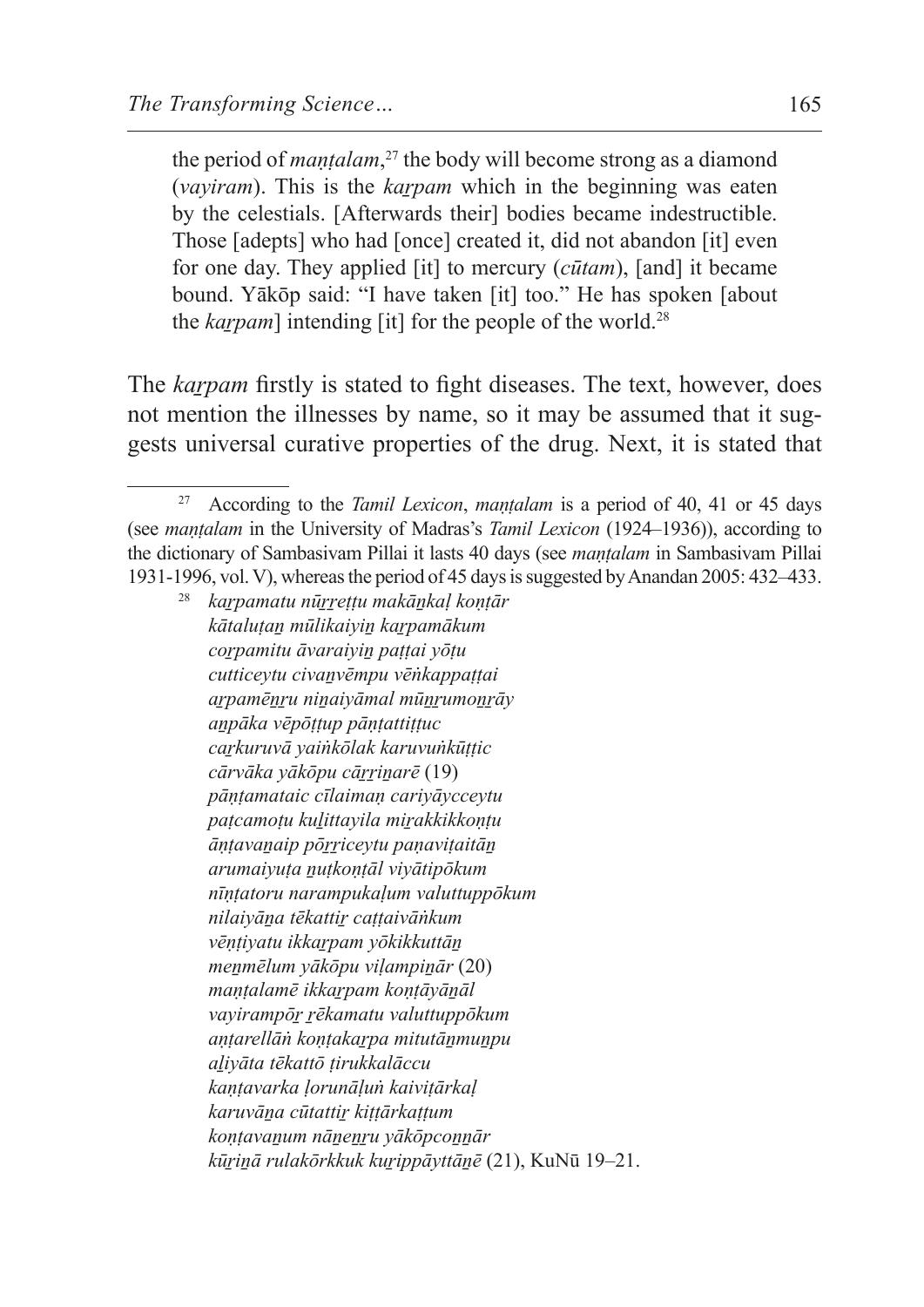the period of *maṇṭalam*, 27 the body will become strong as a diamond (*vayiram*). This is the *karpam* which in the beginning was eaten by the celestials. [Afterwards their] bodies became indestructible. Those [adepts] who had [once] created it, did not abandon [it] even for one day. They applied [it] to mercury (*cūtam*), [and] it became bound. Yākōp said: "I have taken [it] too." He has spoken [about the *karpam*] intending [it] for the people of the world.<sup>28</sup>

The *karpam* firstly is stated to fight diseases. The text, however, does not mention the illnesses by name, so it may be assumed that it suggests universal curative properties of the drug. Next, it is stated that

<sup>27</sup> According to the *Tamil Lexicon*, *maṇṭalam* is a period of 40, 41 or 45 days (see *maṇṭalam* in the University of Madras's *Tamil Lexicon* (1924–1936)), according to the dictionary of Sambasivam Pillai it lasts 40 days (see *maṇṭalam* in Sambasivam Pillai 1931-1996, vol. V), whereas the period of 45 days is suggested by Anandan 2005: 432–433.

<sup>28</sup> *kaṟpamatu nūṟṟeṭṭu makāṉkaḷ koṇṭār kātaluṭaṉ mūlikaiyiṉ kaṟpamākum coṟpamitu āvaraiyiṉ paṭṭai yōṭu cutticeytu civaṉvēmpu vēṅkappaṭṭai aṟpamēṉṟu niṉaiyāmal mūṉṟumoṉṟāy aṉpāka vēpōṭṭup pāṇṭattiṭṭuc caṟkuruvā yaiṅkōlak karuvuṅkūṭṭic cārvāka yākōpu cāṟṟiṉarē* (19) *pāṇṭamataic cīlaimaṇ cariyāycceytu paṭcamoṭu kuḻittayila miṟakkikkoṇṭu āṇṭavaṉaip pōṟṟiceytu paṇaviṭaitāṉ arumaiyuṭa ṉuṭkoṇṭāl viyātipōkum nīṇṭatoru narampukaḷum valuttuppōkum nilaiyāṉa tēkattiṟ caṭṭaivāṅkum vēṇṭiyatu ikkaṟpam yōkikkuttāṉ meṉmēlum yākōpu viḷampiṉār* (20) *maṇṭalamē ikkaṟpam koṇṭāyāṉāl vayirampōṟ ṟēkamatu valuttuppōkum aṇṭarellāṅ koṇṭakaṟpa mitutāṉmuṉpu aḻiyāta tēkattō ṭirukkalāccu kaṇṭavarka ḷorunāḷuṅ kaiviṭārkaḷ karuvāṉa cūtattiṟ kiṭṭārkaṭṭum koṇṭavaṉum nāṉeṉṟu yākōpcoṉṉār kūṟiṉā rulakōrkkuk kuṟippāyttāṉē* (21), KuNū 19–21.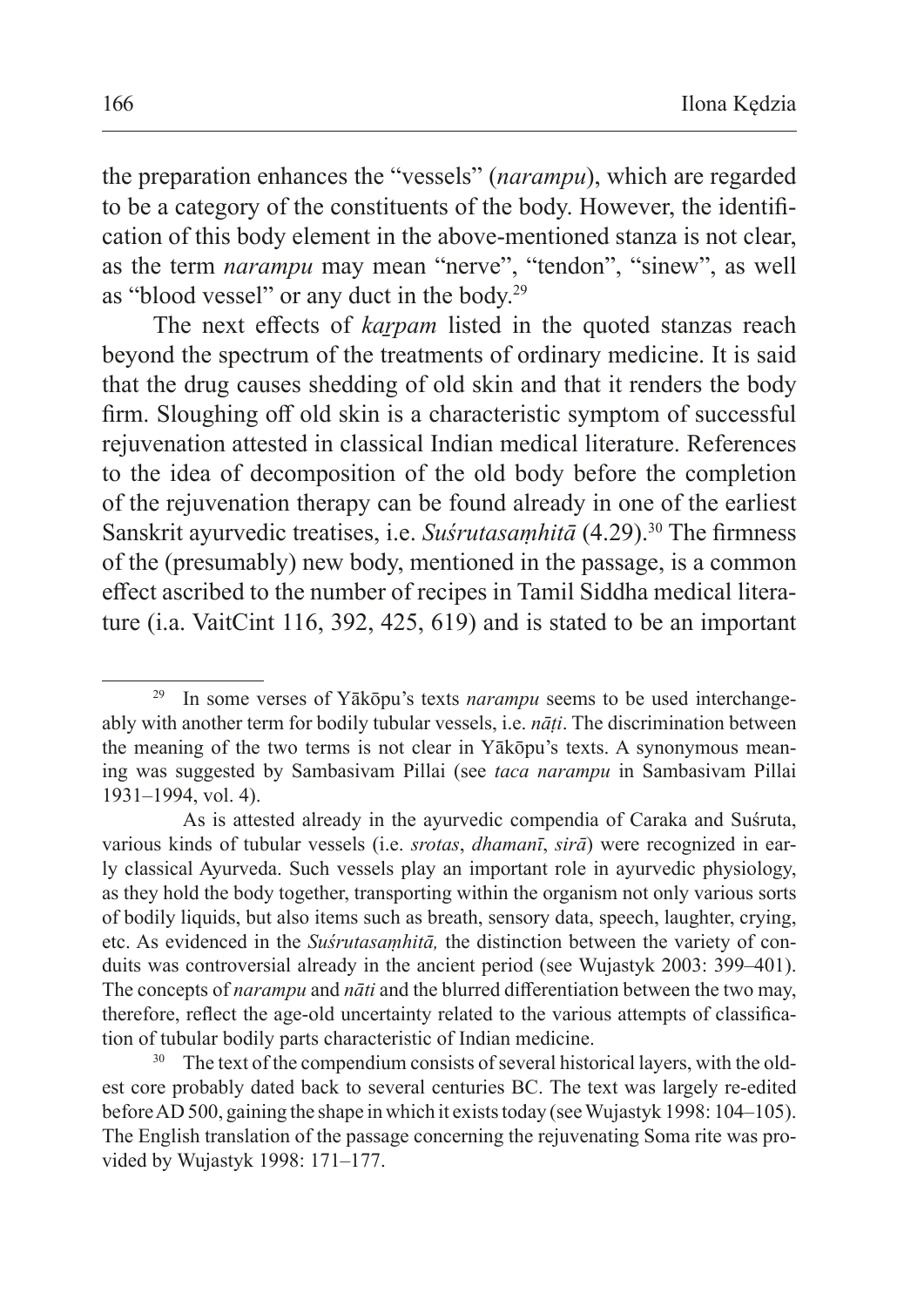the preparation enhances the "vessels" (*narampu*), which are regarded to be a category of the constituents of the body. However, the identification of this body element in the above-mentioned stanza is not clear, as the term *narampu* may mean "nerve", "tendon", "sinew", as well as "blood vessel" or any duct in the body.<sup>29</sup>

The next effects of *karpam* listed in the quoted stanzas reach beyond the spectrum of the treatments of ordinary medicine. It is said that the drug causes shedding of old skin and that it renders the body firm. Sloughing off old skin is a characteristic symptom of successful rejuvenation attested in classical Indian medical literature. References to the idea of decomposition of the old body before the completion of the rejuvenation therapy can be found already in one of the earliest Sanskrit ayurvedic treatises, i.e. *Suśrutasamhitā* (4.29).<sup>30</sup> The firmness of the (presumably) new body, mentioned in the passage, is a common effect ascribed to the number of recipes in Tamil Siddha medical literature (i.a. VaitCint 116, 392, 425, 619) and is stated to be an important

In some verses of Yākōpu's texts *narampu* seems to be used interchangeably with another term for bodily tubular vessels, i.e. *nāṭi*. The discrimination between the meaning of the two terms is not clear in Yākōpu's texts. A synonymous meaning was suggested by Sambasivam Pillai (see *taca narampu* in Sambasivam Pillai 1931–1994, vol. 4).

As is attested already in the ayurvedic compendia of Caraka and Suśruta, various kinds of tubular vessels (i.e. *srotas*, *dhamanī*, *sirā*) were recognized in early classical Ayurveda. Such vessels play an important role in ayurvedic physiology, as they hold the body together, transporting within the organism not only various sorts of bodily liquids, but also items such as breath, sensory data, speech, laughter, crying, etc. As evidenced in the *Suśrutasaṃhitā,* the distinction between the variety of conduits was controversial already in the ancient period (see Wujastyk 2003: 399–401). The concepts of *narampu* and *nāti* and the blurred differentiation between the two may, therefore, reflect the age-old uncertainty related to the various attempts of classification of tubular bodily parts characteristic of Indian medicine.

<sup>&</sup>lt;sup>30</sup> The text of the compendium consists of several historical layers, with the oldest core probably dated back to several centuries BC. The text was largely re-edited before AD 500, gaining the shape in which it exists today (see Wujastyk 1998: 104–105). The English translation of the passage concerning the rejuvenating Soma rite was provided by Wujastyk 1998: 171–177.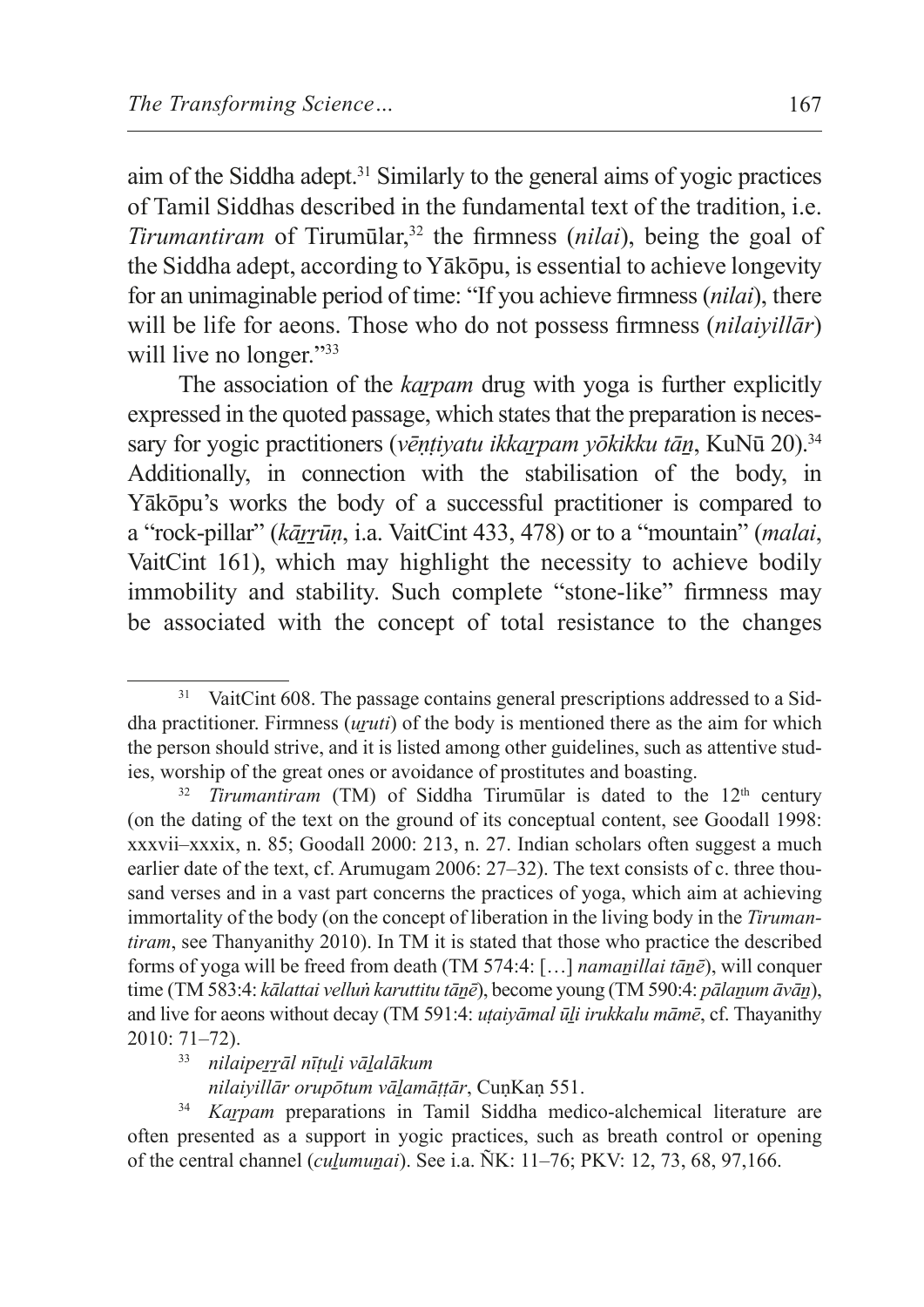aim of the Siddha adept.<sup>31</sup> Similarly to the general aims of yogic practices of Tamil Siddhas described in the fundamental text of the tradition, i.e. *Tirumantiram* of Tirumūlar,<sup>32</sup> the firmness (*nilai*), being the goal of the Siddha adept, according to Yākōpu, is essential to achieve longevity for an unimaginable period of time: "If you achieve firmness (*nilai*), there will be life for aeons. Those who do not possess firmness (*nilaiyillār*) will live no longer."<sup>33</sup>

The association of the *karpam* drug with yoga is further explicitly expressed in the quoted passage, which states that the preparation is necessary for yogic practitioners (*vēntiyatu ikkarpam yōkikku tān*, KuNū 20).<sup>34</sup> Additionally, in connection with the stabilisation of the body, in Yākōpu's works the body of a successful practitioner is compared to a "rock-pillar" (*kārrūn*, i.a. VaitCint 433, 478) or to a "mountain" (*malai*, VaitCint 161), which may highlight the necessity to achieve bodily immobility and stability. Such complete "stone-like" firmness may be associated with the concept of total resistance to the changes

VaitCint 608. The passage contains general prescriptions addressed to a Siddha practitioner. Firmness (*uṟuti*) of the body is mentioned there as the aim for which the person should strive, and it is listed among other guidelines, such as attentive studies, worship of the great ones or avoidance of prostitutes and boasting.

*Tirumantiram* (TM) of Siddha Tirumūlar is dated to the 12<sup>th</sup> century (on the dating of the text on the ground of its conceptual content, see Goodall 1998: xxxvii–xxxix, n. 85; Goodall 2000: 213, n. 27. Indian scholars often suggest a much earlier date of the text, cf. Arumugam 2006: 27–32). The text consists of c. three thousand verses and in a vast part concerns the practices of yoga, which aim at achieving immortality of the body (on the concept of liberation in the living body in the *Tirumantiram*, see Thanyanithy 2010). In TM it is stated that those who practice the described forms of yoga will be freed from death (TM 574:4: […] *namaṉillai tāṉē*), will conquer time (TM 583:4: *kālattai velluṅ karuttitu tānē*), become young (TM 590:4: *pālanum āvān*), and live for aeons without decay (TM 591:4: *uṭaiyāmal ūḻi irukkalu māmē*, cf. Thayanithy 2010: 71–72).

<sup>33</sup> *nilaipeṟṟāl nīṭuḻi vāḻalākum*

*nilaiyillār orupōtum vāḻamāṭṭār*, CuṇKaṇ 551.

<sup>34</sup> *Kaṟpam* preparations in Tamil Siddha medico-alchemical literature are often presented as a support in yogic practices, such as breath control or opening of the central channel (*cuḻumuṉai*). See i.a. ÑK: 11–76; PKV: 12, 73, 68, 97,166.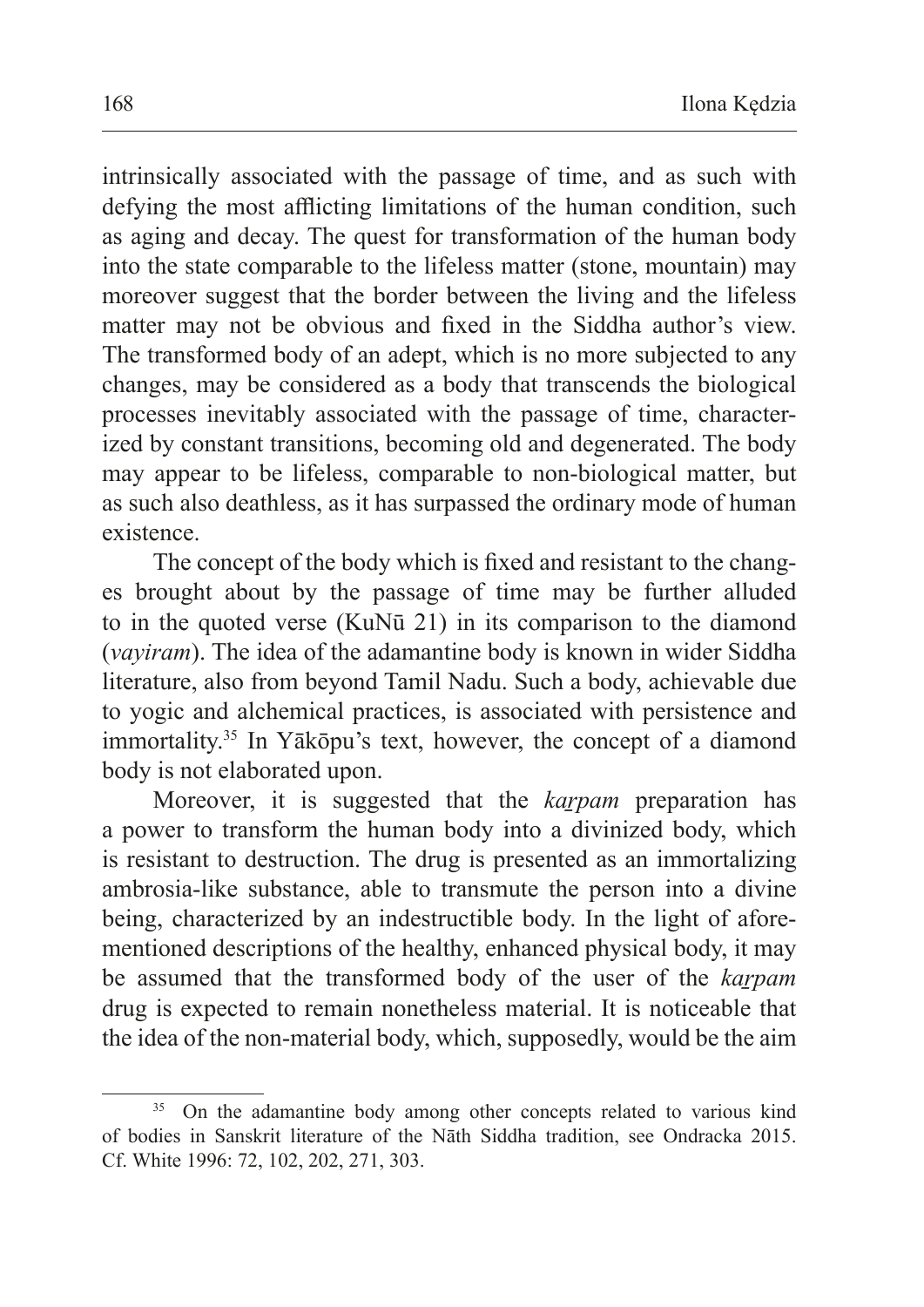intrinsically associated with the passage of time, and as such with defying the most afflicting limitations of the human condition, such as aging and decay. The quest for transformation of the human body into the state comparable to the lifeless matter (stone, mountain) may moreover suggest that the border between the living and the lifeless matter may not be obvious and fixed in the Siddha author's view. The transformed body of an adept, which is no more subjected to any changes, may be considered as a body that transcends the biological processes inevitably associated with the passage of time, characterized by constant transitions, becoming old and degenerated. The body may appear to be lifeless, comparable to non-biological matter, but as such also deathless, as it has surpassed the ordinary mode of human existence.

The concept of the body which is fixed and resistant to the changes brought about by the passage of time may be further alluded to in the quoted verse (KuNū 21) in its comparison to the diamond (*vayiram*). The idea of the adamantine body is known in wider Siddha literature, also from beyond Tamil Nadu. Such a body, achievable due to yogic and alchemical practices, is associated with persistence and immortality.35 In Yākōpu's text, however, the concept of a diamond body is not elaborated upon.

Moreover, it is suggested that the *kaṟpam* preparation has a power to transform the human body into a divinized body, which is resistant to destruction. The drug is presented as an immortalizing ambrosia-like substance, able to transmute the person into a divine being, characterized by an indestructible body. In the light of aforementioned descriptions of the healthy, enhanced physical body, it may be assumed that the transformed body of the user of the *karpam* drug is expected to remain nonetheless material. It is noticeable that the idea of the non-material body, which, supposedly, would be the aim

<sup>&</sup>lt;sup>35</sup> On the adamantine body among other concepts related to various kind of bodies in Sanskrit literature of the Nāth Siddha tradition, see Ondracka 2015. Cf. White 1996: 72, 102, 202, 271, 303.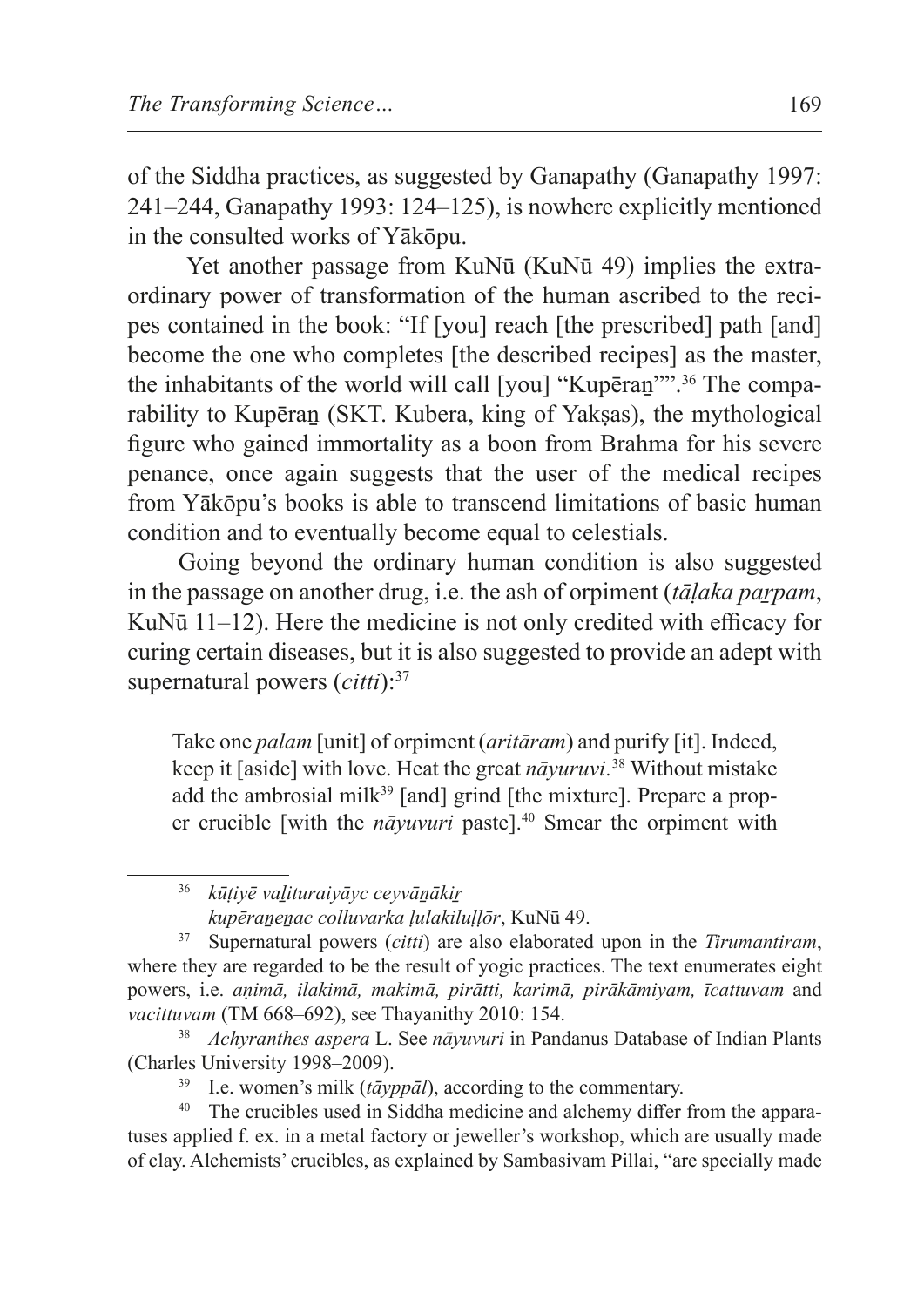of the Siddha practices, as suggested by Ganapathy (Ganapathy 1997: 241–244, Ganapathy 1993: 124–125), is nowhere explicitly mentioned in the consulted works of Yākōpu.

 Yet another passage from KuNū (KuNū 49) implies the extraordinary power of transformation of the human ascribed to the recipes contained in the book: "If [you] reach [the prescribed] path [and] become the one who completes [the described recipes] as the master, the inhabitants of the world will call [you] "Kupēraṉ"".36 The comparability to Kupēran (SKT. Kubera, king of Yaksas), the mythological figure who gained immortality as a boon from Brahma for his severe penance, once again suggests that the user of the medical recipes from Yākōpu's books is able to transcend limitations of basic human condition and to eventually become equal to celestials.

Going beyond the ordinary human condition is also suggested in the passage on another drug, i.e. the ash of orpiment *(tālaka parpam*, KuNū 11–12). Here the medicine is not only credited with efficacy for curing certain diseases, but it is also suggested to provide an adept with supernatural powers (*citti*):37

Take one *palam* [unit] of orpiment (*aritāram*) and purify [it]. Indeed, keep it [aside] with love. Heat the great *nāyuruvi.*<sup>38</sup> Without mistake add the ambrosial milk<sup>39</sup> [and] grind [the mixture]. Prepare a proper crucible [with the *nāyuvuri* paste].<sup>40</sup> Smear the orpiment with

<sup>36</sup> *kūṭiyē vaḻituraiyāyc ceyvāṉākiṟ kupēraṉeṉac colluvarka ḷulakiluḷḷōr*, KuNū 49.

<sup>37</sup> Supernatural powers (*citti*) are also elaborated upon in the *Tirumantiram*, where they are regarded to be the result of yogic practices. The text enumerates eight powers, i.e. *aṇimā, ilakimā, makimā, pirātti, karimā, pirākāmiyam, īcattuvam* and *vacittuvam* (TM 668–692), see Thayanithy 2010: 154.

<sup>38</sup> *Achyranthes aspera* L. See *nāyuvuri* in Pandanus Database of Indian Plants (Charles University 1998–2009).

<sup>39</sup> I.e. women's milk (*tāyppāl*), according to the commentary.

<sup>40</sup> The crucibles used in Siddha medicine and alchemy differ from the apparatuses applied f. ex. in a metal factory or jeweller's workshop, which are usually made of clay. Alchemists' crucibles, as explained by Sambasivam Pillai, "are specially made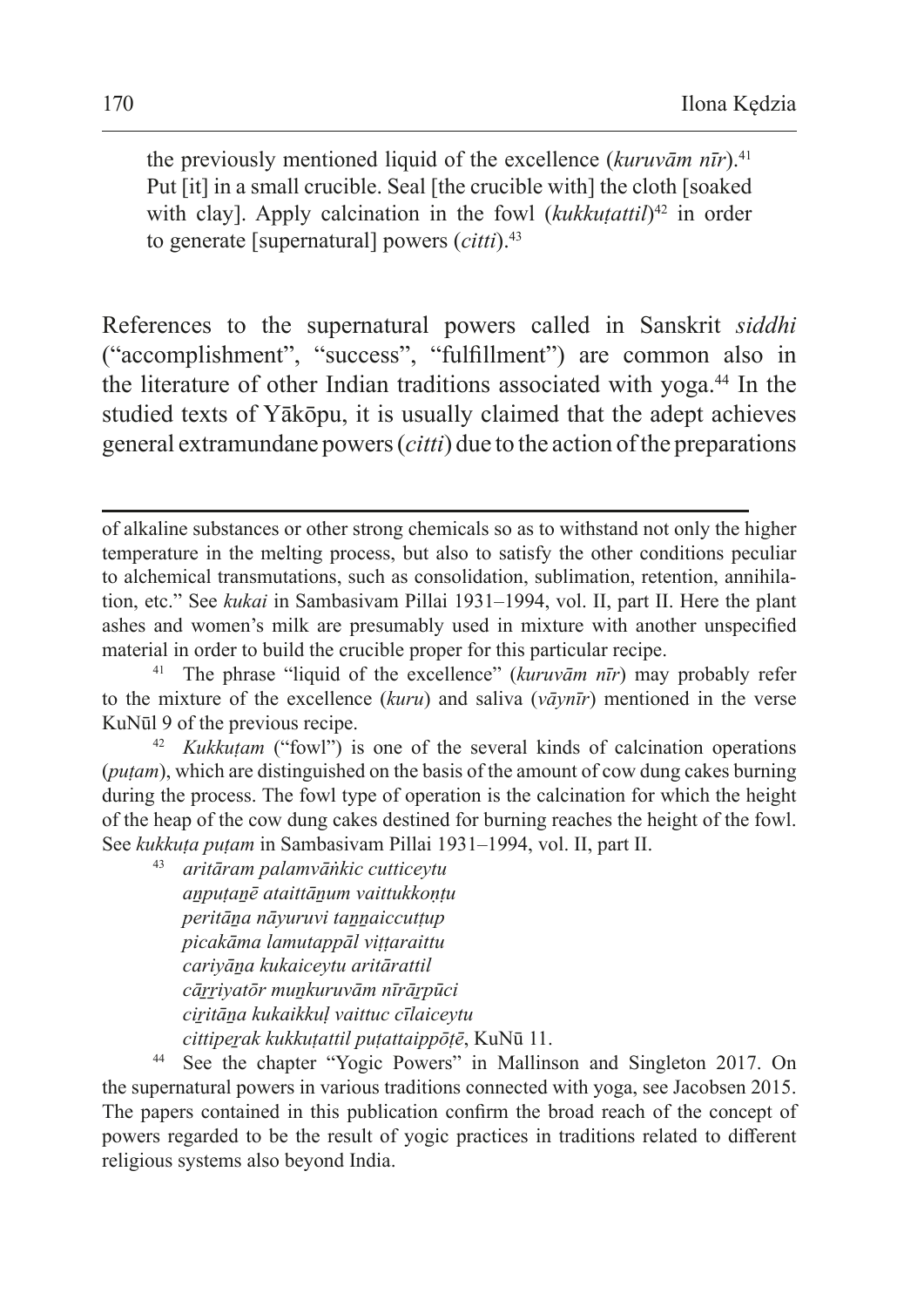the previously mentioned liquid of the excellence (*kuruvām nīr*).41 Put [it] in a small crucible. Seal [the crucible with] the cloth [soaked with clay]. Apply calcination in the fowl (*kukkutattil*)<sup>42</sup> in order to generate [supernatural] powers (*citti*).43

References to the supernatural powers called in Sanskrit *siddhi*  ("accomplishment", "success", "fulfillment") are common also in the literature of other Indian traditions associated with yoga.<sup>44</sup> In the studied texts of Yākōpu, it is usually claimed that the adept achieves general extramundane powers (*citti*) due to the action ofthe preparations

<sup>42</sup> *Kukkuṭam* ("fowl") is one of the several kinds of calcination operations (*puṭam*), which are distinguished on the basis of the amount of cow dung cakes burning during the process. The fowl type of operation is the calcination for which the height of the heap of the cow dung cakes destined for burning reaches the height of the fowl. See *kukkuṭa puṭam* in Sambasivam Pillai 1931–1994, vol. II, part II.

<sup>43</sup> *aritāram palamvāṅkic cutticeytu aṉpuṭaṉē ataittāṉum vaittukkoṇṭu peritāṉa nāyuruvi taṉṉaiccutṭup picakāma lamutappāl viṭṭaraittu cariyāṉa kukaiceytu aritārattil cāṟṟiyatōr muṉkuruvām nīrāṟpūci ciṟitāṉa kukaikkuḷ vaittuc cīlaiceytu cittipeṟak kukkuṭattil puṭattaippōṭē*, KuNū 11.

<sup>44</sup> See the chapter "Yogic Powers" in Mallinson and Singleton 2017. On the supernatural powers in various traditions connected with yoga, see Jacobsen 2015. The papers contained in this publication confirm the broad reach of the concept of powers regarded to be the result of yogic practices in traditions related to different religious systems also beyond India.

of alkaline substances or other strong chemicals so as to withstand not only the higher temperature in the melting process, but also to satisfy the other conditions peculiar to alchemical transmutations, such as consolidation, sublimation, retention, annihilation, etc." See *kukai* in Sambasivam Pillai 1931–1994, vol. II, part II. Here the plant ashes and women's milk are presumably used in mixture with another unspecified material in order to build the crucible proper for this particular recipe.

<sup>&</sup>lt;sup>41</sup> The phrase "liquid of the excellence" ( $kuruv\bar{a}m\bar{n}r$ ) may probably refer to the mixture of the excellence (*kuru*) and saliva (*vāynīr*) mentioned in the verse KuNūl 9 of the previous recipe.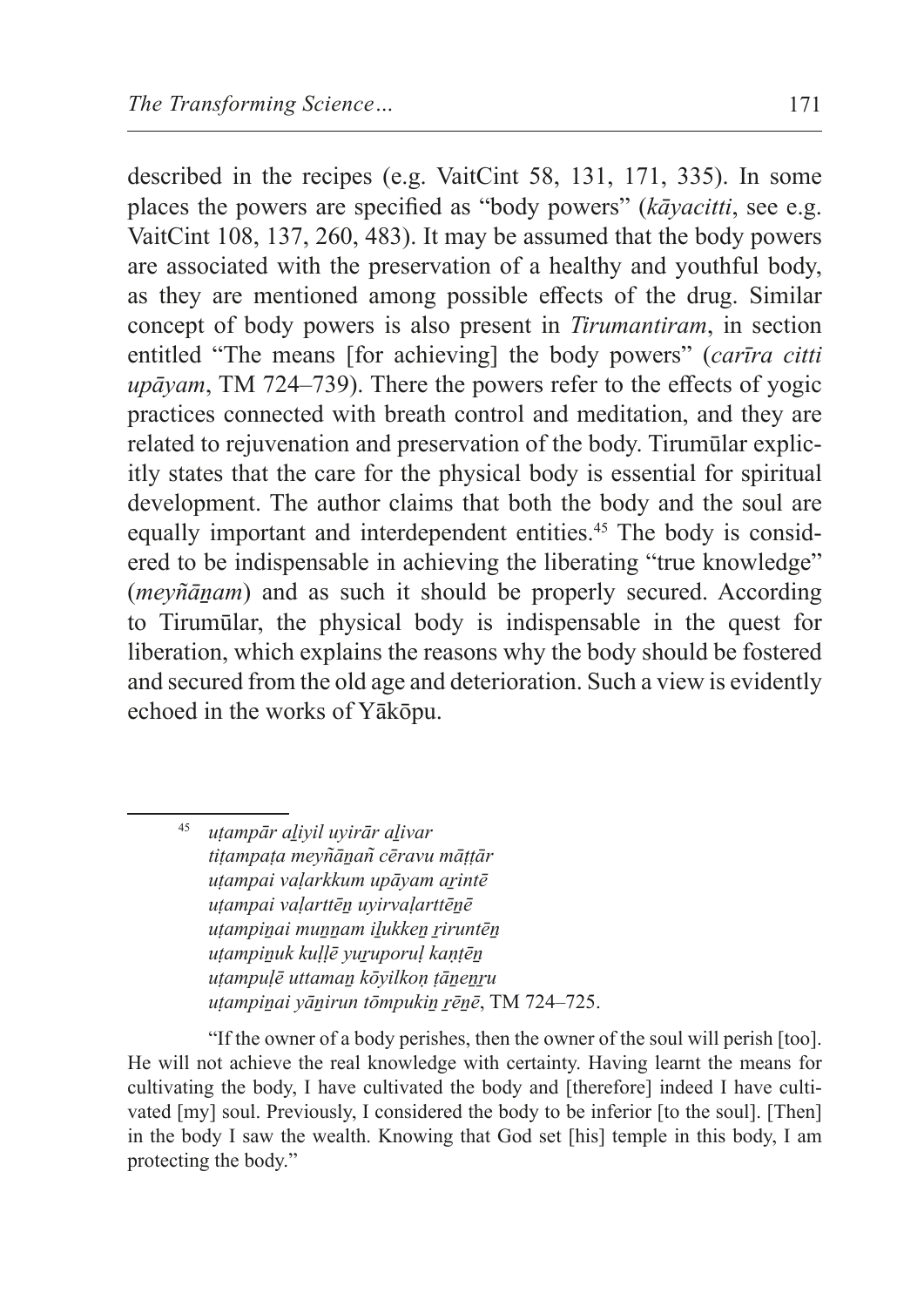described in the recipes (e.g. VaitCint 58, 131, 171, 335). In some places the powers are specified as "body powers" (*kāyacitti*, see e.g. VaitCint 108, 137, 260, 483). It may be assumed that the body powers are associated with the preservation of a healthy and youthful body, as they are mentioned among possible effects of the drug. Similar concept of body powers is also present in *Tirumantiram*, in section entitled "The means [for achieving] the body powers" (*carīra citti upāyam*, TM 724–739). There the powers refer to the effects of yogic practices connected with breath control and meditation, and they are related to rejuvenation and preservation of the body. Tirumūlar explicitly states that the care for the physical body is essential for spiritual development. The author claims that both the body and the soul are equally important and interdependent entities.<sup>45</sup> The body is considered to be indispensable in achieving the liberating "true knowledge" (*meyñāṉam*) and as such it should be properly secured. According to Tirumūlar, the physical body is indispensable in the quest for liberation, which explains the reasons why the body should be fostered and secured from the old age and deterioration. Such a view is evidently echoed in the works of Yākōpu.

<sup>45</sup> *uṭampār aḻiyil uyirār aḻivar tiṭampaṭa meyn͂āṉan͂ cēravu māṭṭār uṭampai vaḷarkkum upāyam aṟintē uṭampai vaḷarttēṉ uyirvaḷarttēṉē uṭampiṉai muṉṉam iḻukkeṉ ṟiruntēṉ uṭampiṉuk kuḷḷē yuṟuporuḷ kaṇṭēṉ uṭampuḷē uttamaṉ kōyilkoṇ ṭāṉeṉṟu uṭampiṉai yāṉirun tōmpukiṉ ṟēṉē*, TM 724–725.

"If the owner of a body perishes, then the owner of the soul will perish [too]. He will not achieve the real knowledge with certainty. Having learnt the means for cultivating the body, I have cultivated the body and [therefore] indeed I have cultivated [my] soul. Previously, I considered the body to be inferior [to the soul]. [Then] in the body I saw the wealth. Knowing that God set [his] temple in this body, I am protecting the body."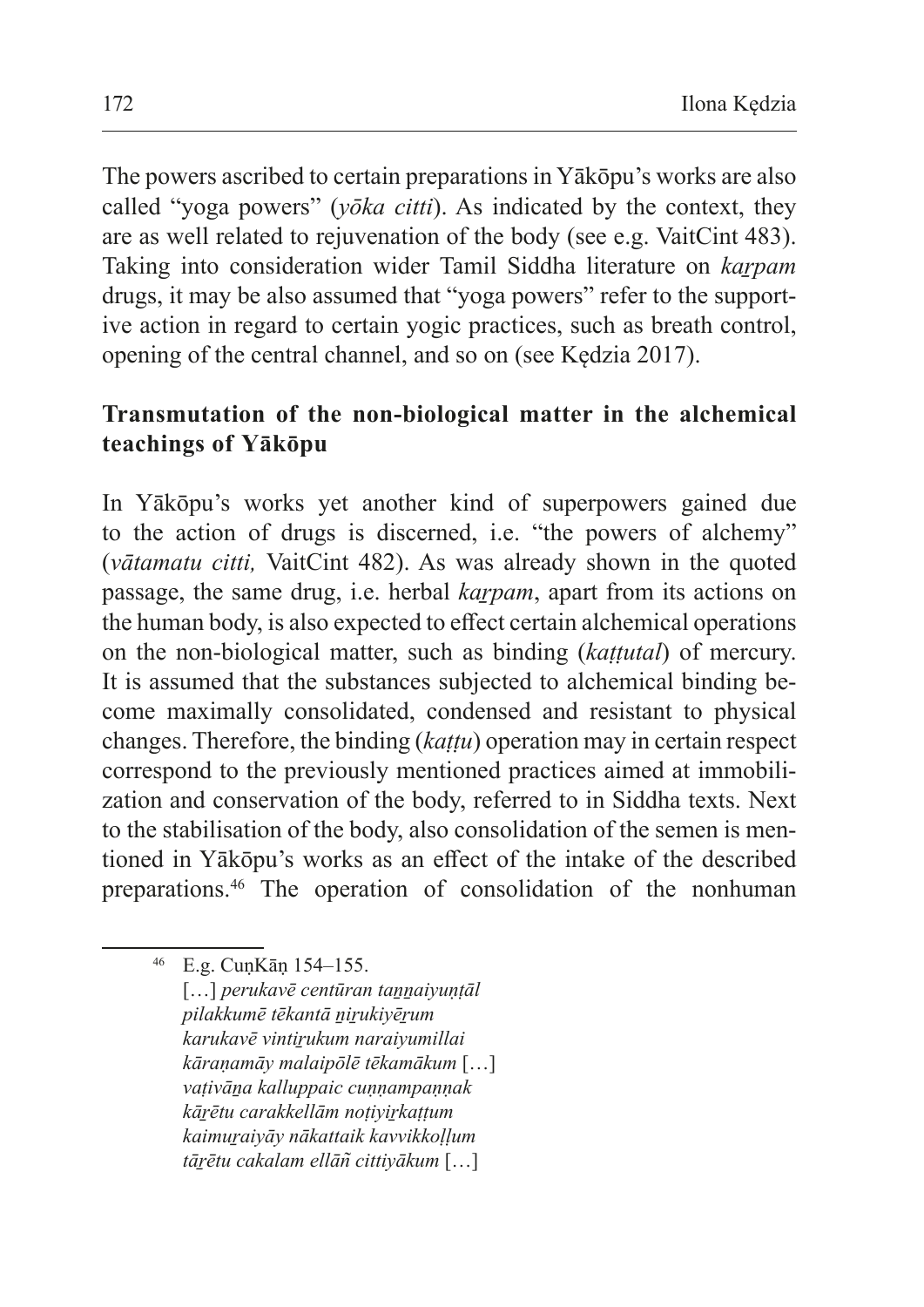The powers ascribed to certain preparations in Yākōpu's works are also called "yoga powers" (*yōka citti*). As indicated by the context, they are as well related to rejuvenation of the body (see e.g. VaitCint 483). Taking into consideration wider Tamil Siddha literature on *kaṟpam*  drugs, it may be also assumed that "yoga powers" refer to the supportive action in regard to certain yogic practices, such as breath control, opening of the central channel, and so on (see Kędzia 2017).

# **Transmutation of the non-biological matter in the alchemical teachings of Yākōpu**

In Yākōpu's works yet another kind of superpowers gained due to the action of drugs is discerned, i.e. "the powers of alchemy" (*vātamatu citti,* VaitCint 482). As was already shown in the quoted passage, the same drug, i.e. herbal *karpam*, apart from its actions on the human body, is also expected to effect certain alchemical operations on the non-biological matter, such as binding (*kaṭṭutal*) of mercury. It is assumed that the substances subjected to alchemical binding become maximally consolidated, condensed and resistant to physical changes. Therefore, the binding (*kaṭṭu*) operation may in certain respect correspond to the previously mentioned practices aimed at immobilization and conservation of the body, referred to in Siddha texts. Next to the stabilisation of the body, also consolidation of the semen is mentioned in Yākōpu's works as an effect of the intake of the described preparations.46 The operation of consolidation of the nonhuman

[…] *perukavē centūran taṉṉaiyuṇṭāl pilakkumē tēkantā ṉiṟukiyēṟum karukavē vintiṟukum naraiyumillai kāraṇamāy malaipōlē tēkamākum* […] *vaṭivāṉa kalluppaic cuṇṇampaṇṇak kāṟētu carakkellām noṭiyiṟkaṭṭum kaimuṟaiyāy nākattaik kavvikkoḷḷum tāṟētu cakalam ellān͂ cittiyākum* […]

<sup>46</sup> E.g. CuṇKāṇ 154–155.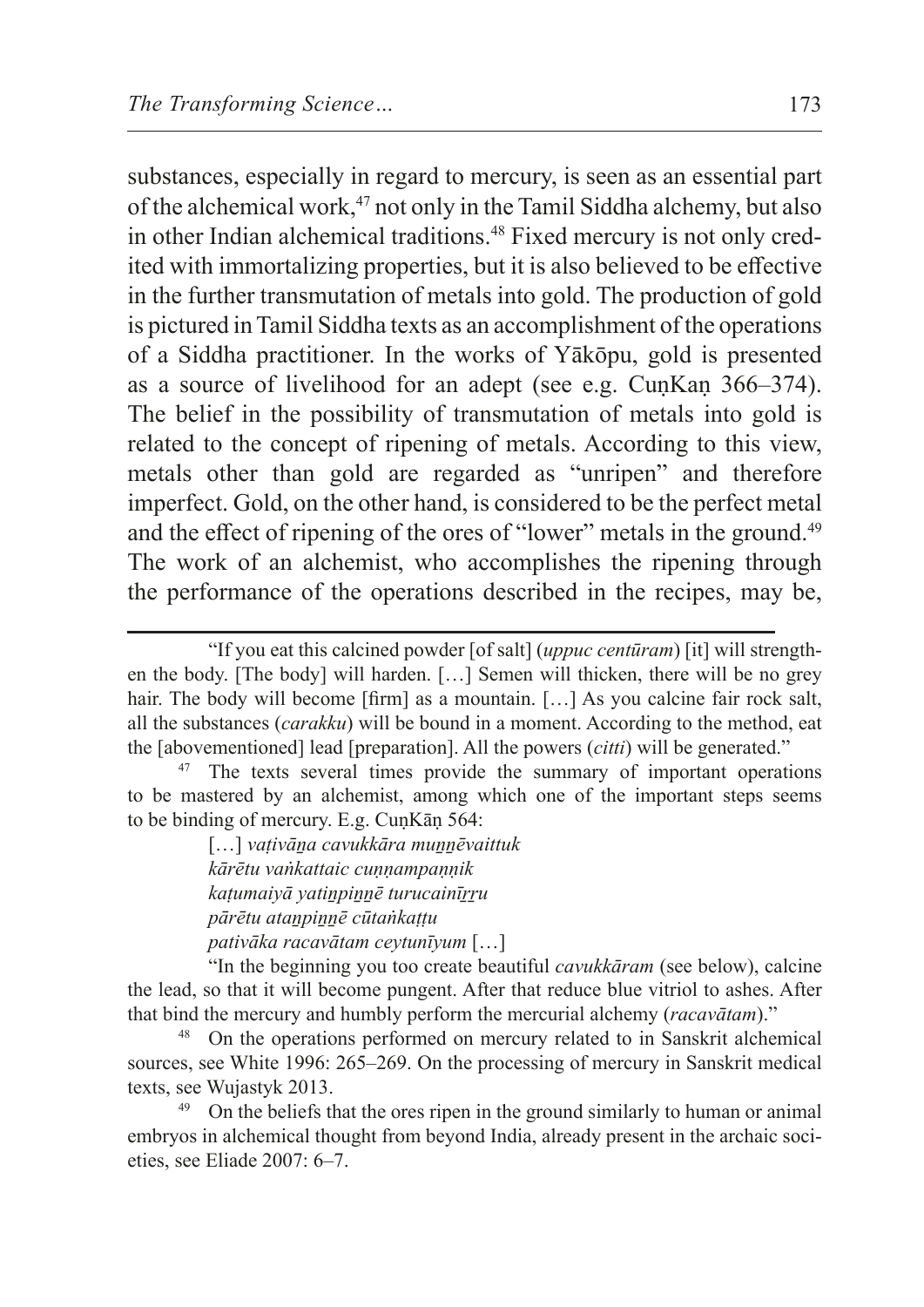substances, especially in regard to mercury, is seen as an essential part of the alchemical work,<sup>47</sup> not only in the Tamil Siddha alchemy, but also in other Indian alchemical traditions.<sup>48</sup> Fixed mercury is not only credited with immortalizing properties, but it is also believed to be effective in the further transmutation of metals into gold. The production of gold is pictured inTamil Siddha texts as an accomplishment of the operations of a Siddha practitioner. In the works of Yākōpu, gold is presented as a source of livelihood for an adept (see e.g. CuṇKaṇ 366–374). The belief in the possibility of transmutation of metals into gold is related to the concept of ripening of metals. According to this view, metals other than gold are regarded as "unripen" and therefore imperfect. Gold, on the other hand, is considered to be the perfect metal and the effect of ripening of the ores of "lower" metals in the ground.<sup>49</sup> The work of an alchemist, who accomplishes the ripening through the performance of the operations described in the recipes, may be,

[…] *vaṭivāṉa cavukkāra muṉṉēvaittuk kārētu vaṅkattaic cuṇṇampaṇṇik kaṭumaiyā yatiṉpiṉṉē turucainīṟṟu pārētu ataṉpiṉṉē cūtaṅkaṭṭu pativāka racavātam ceytunīyum* […]

"In the beginning you too create beautiful *cavukkāram* (see below), calcine the lead, so that it will become pungent. After that reduce blue vitriol to ashes. After that bind the mercury and humbly perform the mercurial alchemy (*racavātam*)."

<sup>48</sup> On the operations performed on mercury related to in Sanskrit alchemical sources, see White 1996: 265–269. On the processing of mercury in Sanskrit medical texts, see Wujastyk 2013.

<sup>49</sup> On the beliefs that the ores ripen in the ground similarly to human or animal embryos in alchemical thought from beyond India, already present in the archaic societies, see Eliade 2007: 6–7.

<sup>&</sup>quot;If you eat this calcined powder [of salt] (*uppuc centūram*) [it] will strengthen the body. [The body] will harden. […] Semen will thicken, there will be no grey hair. The body will become [firm] as a mountain. [...] As you calcine fair rock salt, all the substances (*carakku*) will be bound in a moment. According to the method, eat the [abovementioned] lead [preparation]. All the powers (*citti*) will be generated."

<sup>&</sup>lt;sup>47</sup> The texts several times provide the summary of important operations to be mastered by an alchemist, among which one of the important steps seems to be binding of mercury. E.g. CuṇKāṇ 564: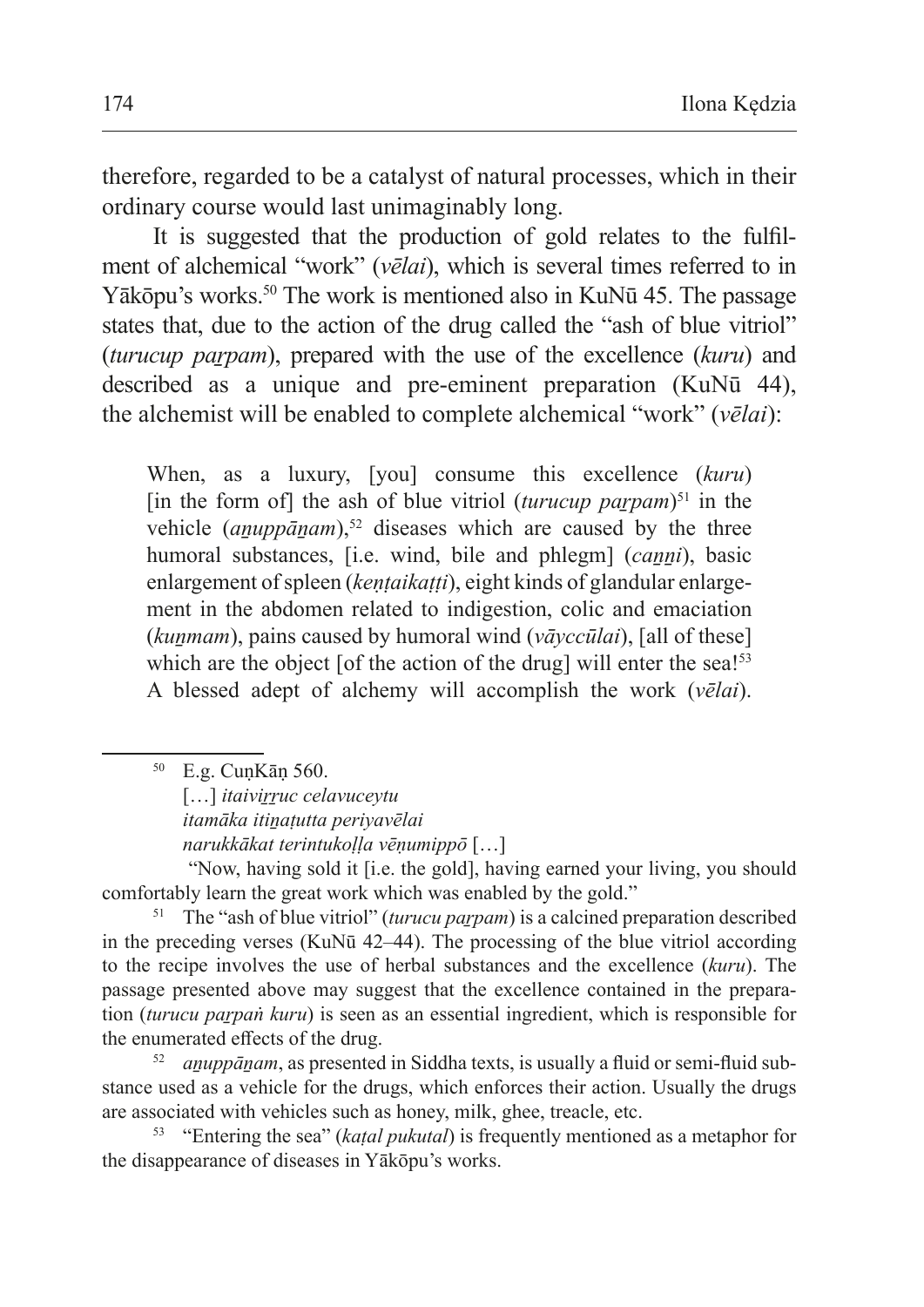therefore, regarded to be a catalyst of natural processes, which in their ordinary course would last unimaginably long.

It is suggested that the production of gold relates to the fulfilment of alchemical "work" (*vēlai*), which is several times referred to in Yākōpu's works.<sup>50</sup> The work is mentioned also in KuNū 45. The passage states that, due to the action of the drug called the "ash of blue vitriol" (*turucup paṟpam*), prepared with the use of the excellence (*kuru*) and described as a unique and pre-eminent preparation (KuNū 44), the alchemist will be enabled to complete alchemical "work" (*vēlai*):

When, as a luxury, [you] consume this excellence (*kuru*) [in the form of] the ash of blue vitriol (*turucup paṟpam*) 51 in the vehicle (*anuppānam*),<sup>52</sup> diseases which are caused by the three humoral substances, [i.e. wind, bile and phlegm] (*canni*), basic enlargement of spleen (*kentaikatti*), eight kinds of glandular enlargement in the abdomen related to indigestion, colic and emaciation (*kuṉmam*), pains caused by humoral wind (*vāyccūlai*), [all of these] which are the object [of the action of the drug] will enter the sea!<sup>53</sup> A blessed adept of alchemy will accomplish the work (*vēlai*).

*itamāka itiṉaṭutta periyavēlai* 

*narukkākat terintukoḷḷa vēṇumippō* […]

 "Now, having sold it [i.e. the gold], having earned your living, you should comfortably learn the great work which was enabled by the gold."

<sup>51</sup> The "ash of blue vitriol" (turucu parpam) is a calcined preparation described in the preceding verses (KuNū 42–44). The processing of the blue vitriol according to the recipe involves the use of herbal substances and the excellence (*kuru*). The passage presented above may suggest that the excellence contained in the preparation *(turucu parpaṅ kuru)* is seen as an essential ingredient, which is responsible for the enumerated effects of the drug.

<sup>52</sup> *aṉuppāṉam*, as presented in Siddha texts, is usually a fluid or semi-fluid substance used as a vehicle for the drugs, which enforces their action. Usually the drugs are associated with vehicles such as honey, milk, ghee, treacle, etc.

<sup>53</sup> "Entering the sea" (*kaṭal pukutal*) is frequently mentioned as a metaphor for the disappearance of diseases in Yākōpu's works.

<sup>50</sup> E.g. CuṇKāṇ 560.

<sup>[...]</sup> *itaivirruc celavuceytu*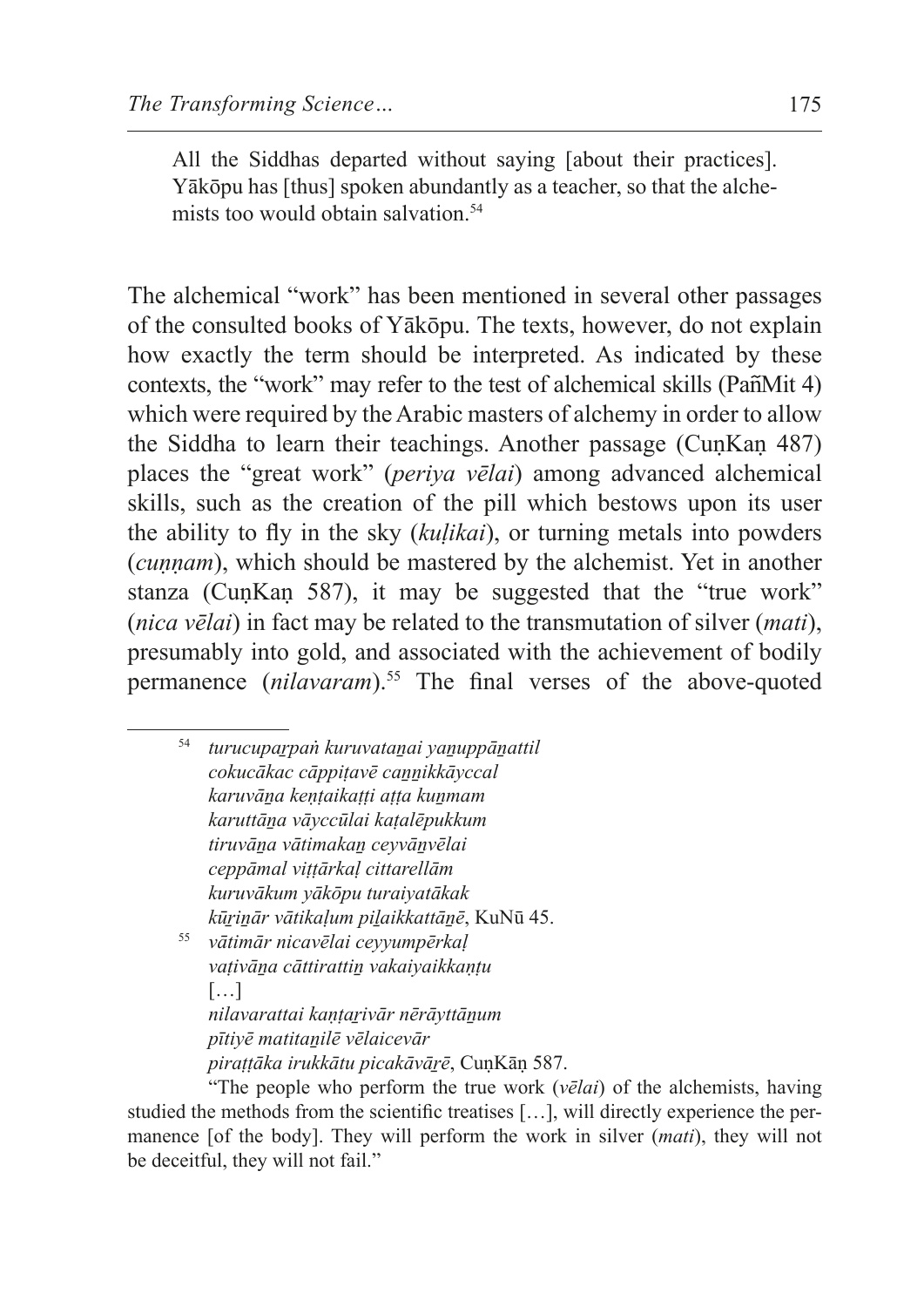All the Siddhas departed without saying [about their practices]. Yākōpu has [thus] spoken abundantly as a teacher, so that the alchemists too would obtain salvation.<sup>54</sup>

The alchemical "work" has been mentioned in several other passages of the consulted books of Yākōpu. The texts, however, do not explain how exactly the term should be interpreted. As indicated by these contexts, the "work" may refer to the test of alchemical skills (PañMit 4) which were required by the Arabic masters of alchemy in order to allow the Siddha to learn their teachings. Another passage (CuṇKaṇ 487) places the "great work" (*periya vēlai*) among advanced alchemical skills, such as the creation of the pill which bestows upon its user the ability to fly in the sky (*kuḷikai*), or turning metals into powders (*cuṇṇam*), which should be mastered by the alchemist. Yet in another stanza (CunKan 587), it may be suggested that the "true work" (*nica vēlai*) in fact may be related to the transmutation of silver (*mati*), presumably into gold, and associated with the achievement of bodily permanence (*nilavaram*).<sup>55</sup> The final verses of the above-quoted

<sup>54</sup> *turucupaṟpaṅ kuruvataṉai yaṉuppāṉattil cokucākac cāppiṭavē caṉṉikkāyccal karuvāṉa keṇṭaikaṭṭi aṭṭa kuṉmam karuttāṉa vāyccūlai kaṭalēpukkum tiruvāṉa vātimakaṉ ceyvāṉvēlai ceppāmal viṭṭārkaḷ cittarellām kuruvākum yākōpu turaiyatākak kūṟiṉār vātikaḷum piḻaikkattāṉē*, KuNū 45. <sup>55</sup> *vātimār nicavēlai ceyyumpērkaḷ*

*vaṭivāṉa cāttirattiṉ vakaiyaikkaṇṭu* […] *nilavarattai kaṇṭaṟivār nērāyttāṉum pītiyē matitaṉilē vēlaicevār* 

*piraṭṭāka irukkātu picakāvāṟē*, CuṇKāṇ 587.

"The people who perform the true work (*vēlai*) of the alchemists, having studied the methods from the scientific treatises […], will directly experience the permanence [of the body]. They will perform the work in silver (*mati*), they will not be deceitful, they will not fail."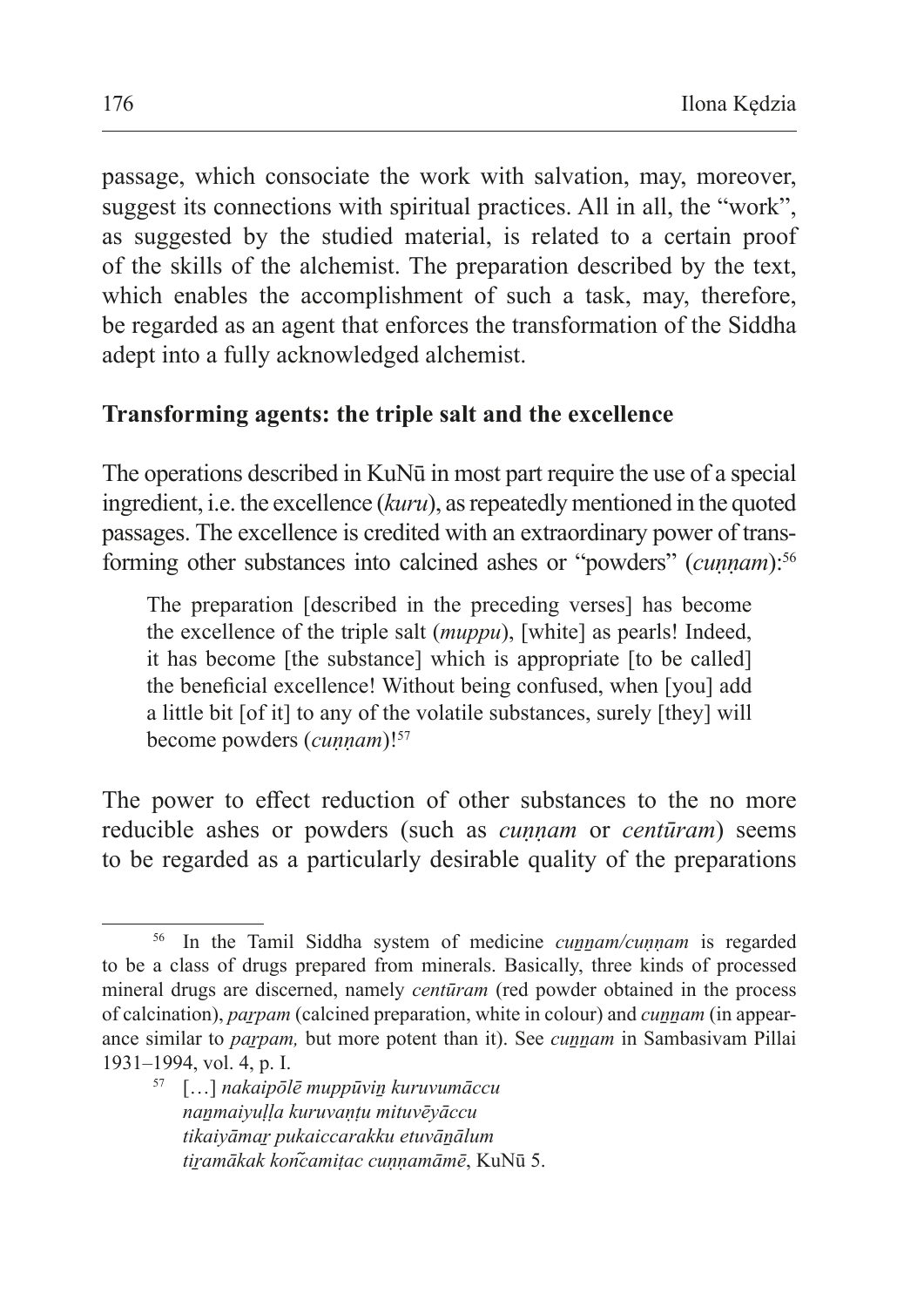passage, which consociate the work with salvation, may, moreover, suggest its connections with spiritual practices. All in all, the "work", as suggested by the studied material, is related to a certain proof of the skills of the alchemist. The preparation described by the text, which enables the accomplishment of such a task, may, therefore, be regarded as an agent that enforces the transformation of the Siddha adept into a fully acknowledged alchemist.

### **Transforming agents: the triple salt and the excellence**

The operations described in KuNū in most part require the use of a special ingredient, i.e. the excellence *(kuru)*, as repeatedly mentioned in the quoted passages. The excellence is credited with an extraordinary power of transforming other substances into calcined ashes or "powders" (*cunnam*):<sup>56</sup>

The preparation [described in the preceding verses] has become the excellence of the triple salt (*muppu*), [white] as pearls! Indeed, it has become [the substance] which is appropriate [to be called] the beneficial excellence! Without being confused, when [you] add a little bit [of it] to any of the volatile substances, surely [they] will become powders (*cuṇṇam*)!<sup>57</sup>

The power to effect reduction of other substances to the no more reducible ashes or powders (such as *cuṇṇam* or *centūram*) seems to be regarded as a particularly desirable quality of the preparations

<sup>56</sup> In the Tamil Siddha system of medicine *cuṉṉam/cuṇṇam* is regarded to be a class of drugs prepared from minerals. Basically, three kinds of processed mineral drugs are discerned, namely *centūram* (red powder obtained in the process of calcination), *paṟpam* (calcined preparation, white in colour) and *cuṉṉam* (in appearance similar to *parpam*, but more potent than it). See *cunnam* in Sambasivam Pillai 1931–1994, vol. 4, p. I.

<sup>57</sup> […] *nakaipōlē muppūviṉ kuruvumāccu naṉmaiyuḷḷa kuruvaṇṭu mituvēyāccu tikaiyāmaṟ pukaiccarakku etuvāṉālum tiṟamākak kon᷉camiṭac cuṇṇamāmē*, KuNū 5.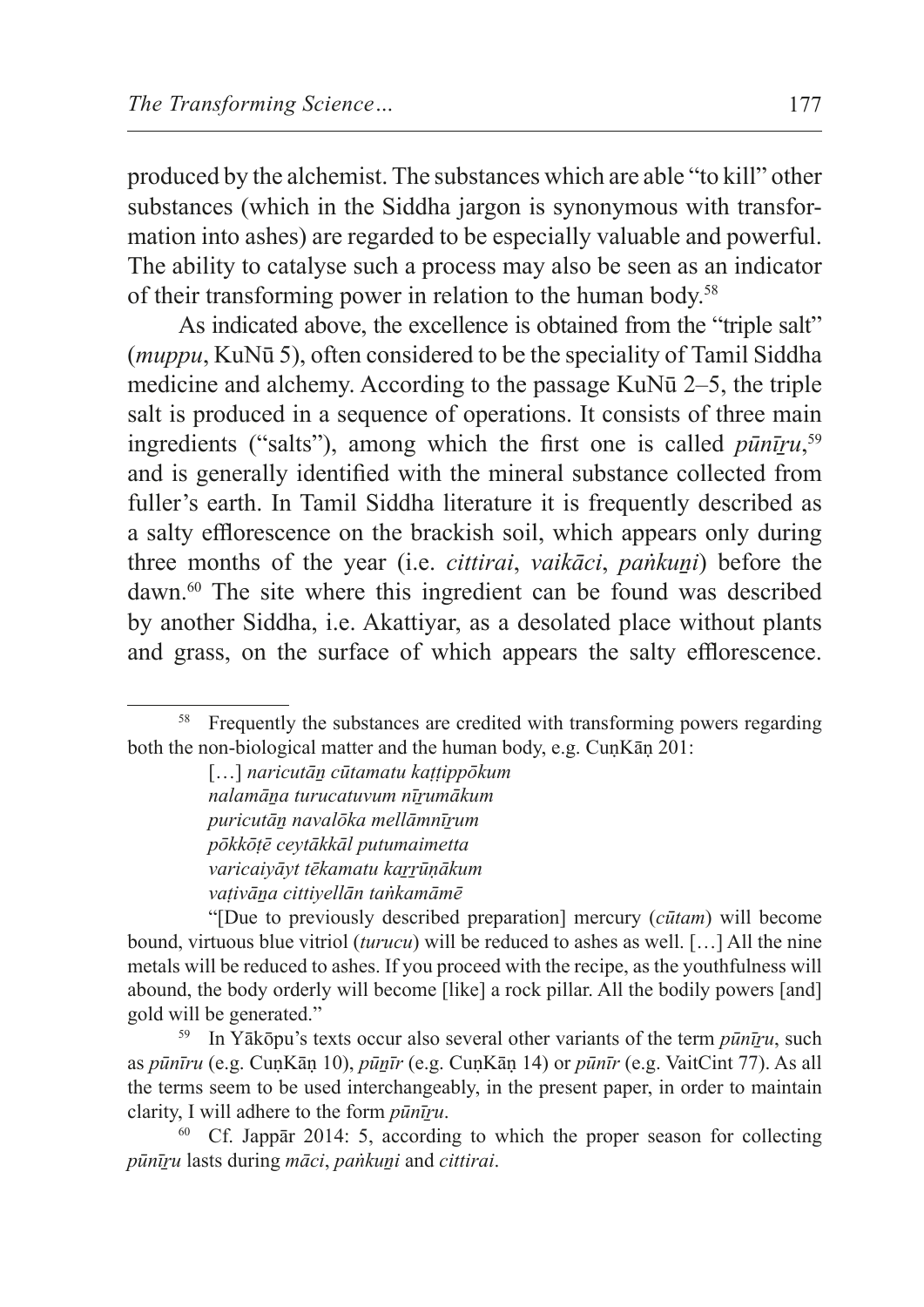produced by the alchemist. The substances which are able "to kill" other substances (which in the Siddha jargon is synonymous with transformation into ashes) are regarded to be especially valuable and powerful. The ability to catalyse such a process may also be seen as an indicator of their transforming power in relation to the human body.58

As indicated above, the excellence is obtained from the "triple salt" (*muppu*, KuNū 5), often considered to be the speciality of Tamil Siddha medicine and alchemy. According to the passage KuNū 2–5, the triple salt is produced in a sequence of operations. It consists of three main ingredients ("salts"), among which the first one is called *pūnīṟu*, 59 and is generally identified with the mineral substance collected from fuller's earth. In Tamil Siddha literature it is frequently described as a salty efflorescence on the brackish soil, which appears only during three months of the year (i.e. *cittirai*, *vaikāci*, *paṅkuṉi*) before the dawn.<sup>60</sup> The site where this ingredient can be found was described by another Siddha, i.e. Akattiyar, as a desolated place without plants and grass, on the surface of which appears the salty efflorescence.

<sup>&</sup>lt;sup>58</sup> Frequently the substances are credited with transforming powers regarding both the non-biological matter and the human body, e.g. CuṇKāṇ 201:

<sup>[…]</sup> *naricutāṉ cūtamatu kaṭṭippōkum nalamāṉa turucatuvum nīṟumākum puricutāṉ navalōka mellāmnīṟum pōkkōṭē ceytākkāl putumaimetta varicaiyāyt tēkamatu kaṟṟūṇākum vaṭivāṉa cittiyellān taṅkamāmē*

<sup>&</sup>quot;[Due to previously described preparation] mercury (*cūtam*) will become bound, virtuous blue vitriol (*turucu*) will be reduced to ashes as well. […] All the nine metals will be reduced to ashes. If you proceed with the recipe, as the youthfulness will abound, the body orderly will become [like] a rock pillar. All the bodily powers [and] gold will be generated."

<sup>59</sup> In Yākōpu's texts occur also several other variants of the term *pūnīṟu*, such as *pūnīru* (e.g. CuṇKāṇ 10), *pūṉīr* (e.g. CuṇKāṇ 14) or *pūnīr* (e.g. VaitCint 77). As all the terms seem to be used interchangeably, in the present paper, in order to maintain clarity, I will adhere to the form *pūnīṟu*.

<sup>60</sup> Cf. Jappār 2014: 5, according to which the proper season for collecting *pūnīṟu* lasts during *māci*, *paṅkuṉi* and *cittirai*.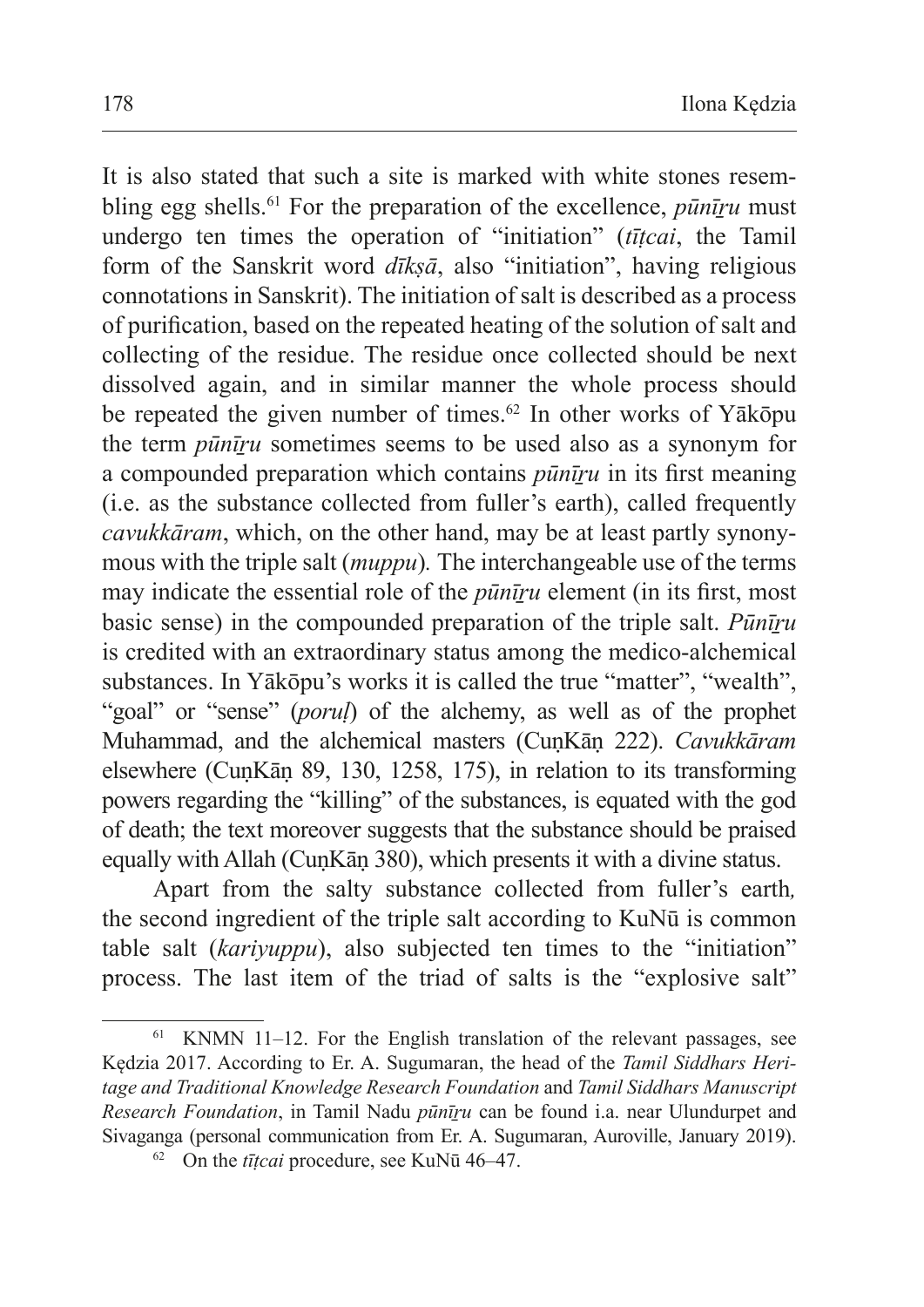It is also stated that such a site is marked with white stones resembling egg shells.<sup>61</sup> For the preparation of the excellence, *pūnīru* must undergo ten times the operation of "initiation" (*tīṭcai*, the Tamil form of the Sanskrit word *dīkṣā*, also "initiation", having religious connotations in Sanskrit). The initiation of salt is described as a process of purification, based on the repeated heating of the solution of salt and collecting of the residue. The residue once collected should be next dissolved again, and in similar manner the whole process should be repeated the given number of times.<sup>62</sup> In other works of Y $\bar{a}$ kōpu the term *pūnīṟu* sometimes seems to be used also as a synonym for a compounded preparation which contains *pūnīṟu* in its first meaning (i.e. as the substance collected from fuller's earth), called frequently *cavukkāram*, which, on the other hand, may be at least partly synonymous with the triple salt (*muppu*)*.* The interchangeable use of the terms may indicate the essential role of the *pūnīṟu* element (in its first, most basic sense) in the compounded preparation of the triple salt. *Pūnīṟu*  is credited with an extraordinary status among the medico-alchemical substances. In Yākōpu's works it is called the true "matter", "wealth", "goal" or "sense" (*porul*) of the alchemy, as well as of the prophet Muhammad, and the alchemical masters (CuṇKāṇ 222). *Cavukkāram* elsewhere (CuṇKāṇ 89, 130, 1258, 175), in relation to its transforming powers regarding the "killing" of the substances, is equated with the god of death; the text moreover suggests that the substance should be praised equally with Allah (CuṇKāṇ 380), which presents it with a divine status.

Apart from the salty substance collected from fuller's earth*,*  the second ingredient of the triple salt according to KuNū is common table salt (*kariyuppu*), also subjected ten times to the "initiation" process. The last item of the triad of salts is the "explosive salt"

KNMN  $11-12$ . For the English translation of the relevant passages, see Kędzia 2017. According to Er. A. Sugumaran, the head of the *Tamil Siddhars Heritage and Traditional Knowledge Research Foundation* and *Tamil Siddhars Manuscript Research Foundation*, in Tamil Nadu *pūnīṟu* can be found i.a. near Ulundurpet and Sivaganga (personal communication from Er. A. Sugumaran, Auroville, January 2019).

<sup>62</sup> On the *tīṭcai* procedure, see KuNū 46–47.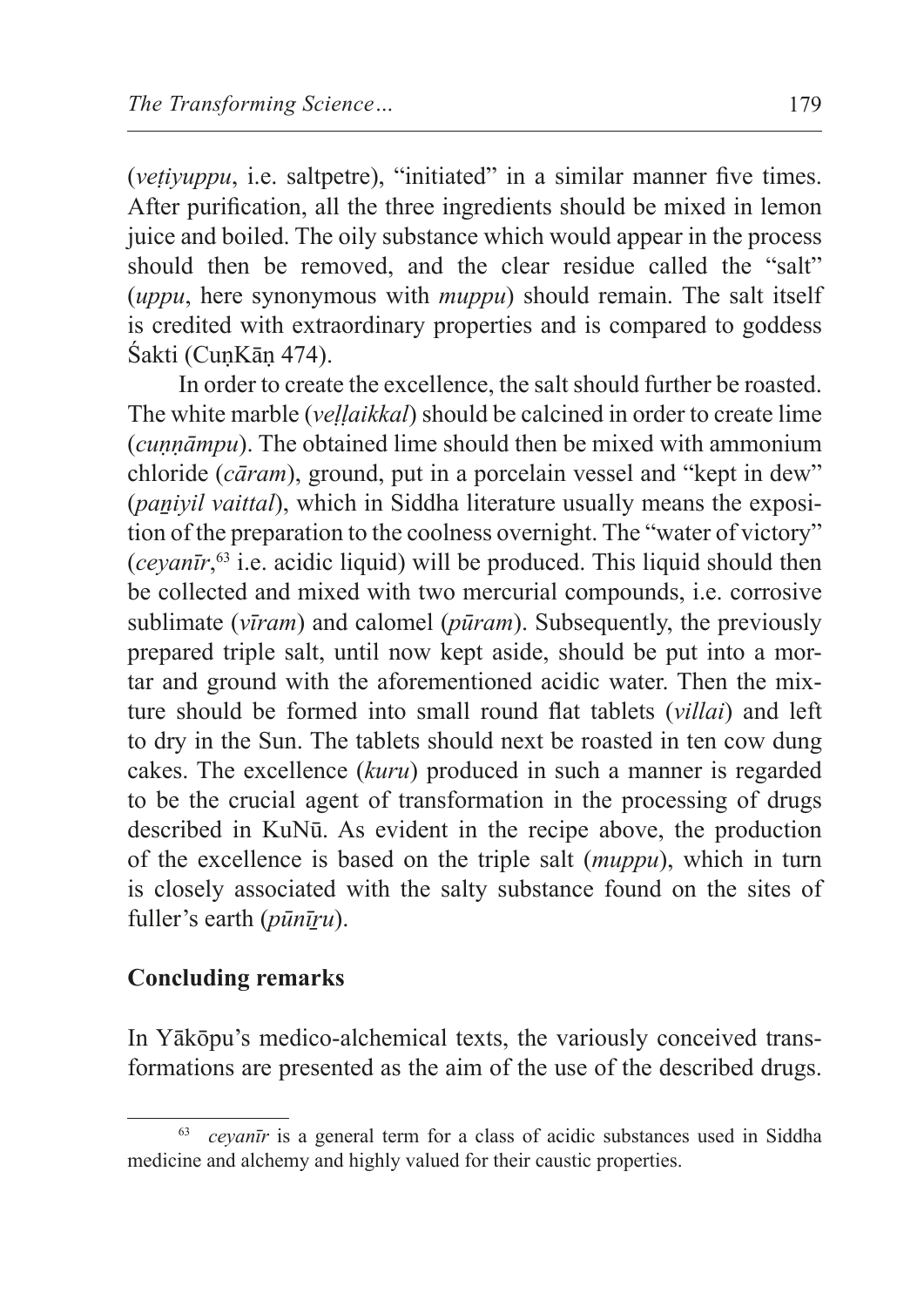(*veṭiyuppu*, i.e. saltpetre), "initiated" in a similar manner five times. After purification, all the three ingredients should be mixed in lemon juice and boiled. The oily substance which would appear in the process should then be removed, and the clear residue called the "salt" (*uppu*, here synonymous with *muppu*) should remain. The salt itself is credited with extraordinary properties and is compared to goddess Śakti (CunKān 474).

In order to create the excellence, the salt should further be roasted. The white marble (*veḷḷaikkal*) should be calcined in order to create lime (*cuṇṇāmpu*). The obtained lime should then be mixed with ammonium chloride (*cāram*), ground, put in a porcelain vessel and "kept in dew" (*paniyil vaittal*), which in Siddha literature usually means the exposition of the preparation to the coolness overnight. The "water of victory" (*ceyanīr*, <sup>63</sup> i.e. acidic liquid) will be produced. This liquid should then be collected and mixed with two mercurial compounds, i.e. corrosive sublimate (*vīram*) and calomel (*pūram*). Subsequently, the previously prepared triple salt, until now kept aside, should be put into a mortar and ground with the aforementioned acidic water. Then the mixture should be formed into small round flat tablets (*villai*) and left to dry in the Sun. The tablets should next be roasted in ten cow dung cakes. The excellence (*kuru*) produced in such a manner is regarded to be the crucial agent of transformation in the processing of drugs described in KuNū. As evident in the recipe above, the production of the excellence is based on the triple salt (*muppu*), which in turn is closely associated with the salty substance found on the sites of fuller's earth (*pūnīṟu*).

### **Concluding remarks**

In Yākōpu's medico-alchemical texts, the variously conceived transformations are presented as the aim of the use of the described drugs.

*ceyanīr* is a general term for a class of acidic substances used in Siddha medicine and alchemy and highly valued for their caustic properties.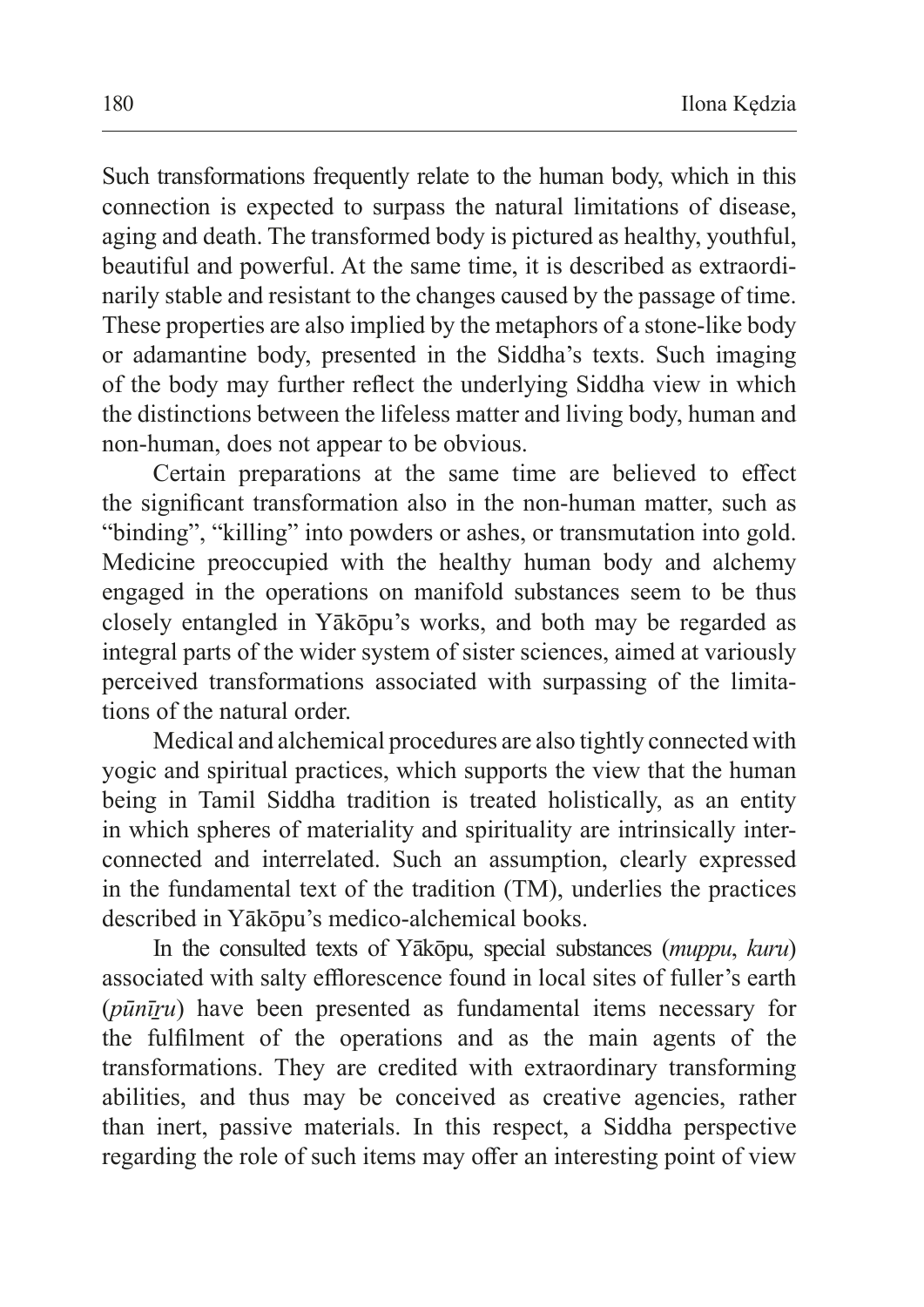Such transformations frequently relate to the human body, which in this connection is expected to surpass the natural limitations of disease, aging and death. The transformed body is pictured as healthy, youthful, beautiful and powerful. At the same time, it is described as extraordinarily stable and resistant to the changes caused by the passage of time. These properties are also implied by the metaphors of a stone-like body or adamantine body, presented in the Siddha's texts. Such imaging of the body may further reflect the underlying Siddha view in which the distinctions between the lifeless matter and living body, human and non-human, does not appear to be obvious.

Certain preparations at the same time are believed to effect the significant transformation also in the non-human matter, such as "binding", "killing" into powders or ashes, or transmutation into gold. Medicine preoccupied with the healthy human body and alchemy engaged in the operations on manifold substances seem to be thus closely entangled in Yākōpu's works, and both may be regarded as integral parts of the wider system of sister sciences, aimed at variously perceived transformations associated with surpassing of the limitations of the natural order.

Medical and alchemical procedures are also tightly connected with yogic and spiritual practices, which supports the view that the human being in Tamil Siddha tradition is treated holistically, as an entity in which spheres of materiality and spirituality are intrinsically interconnected and interrelated. Such an assumption, clearly expressed in the fundamental text of the tradition (TM), underlies the practices described in Yākōpu's medico-alchemical books.

In the consulted texts of Yākōpu, special substances (*muppu*, *kuru*) associated with salty efflorescence found in local sites of fuller's earth (*pūnīṟu*) have been presented as fundamental items necessary for the fulfilment of the operations and as the main agents of the transformations. They are credited with extraordinary transforming abilities, and thus may be conceived as creative agencies, rather than inert, passive materials. In this respect, a Siddha perspective regarding the role of such items may offer an interesting point of view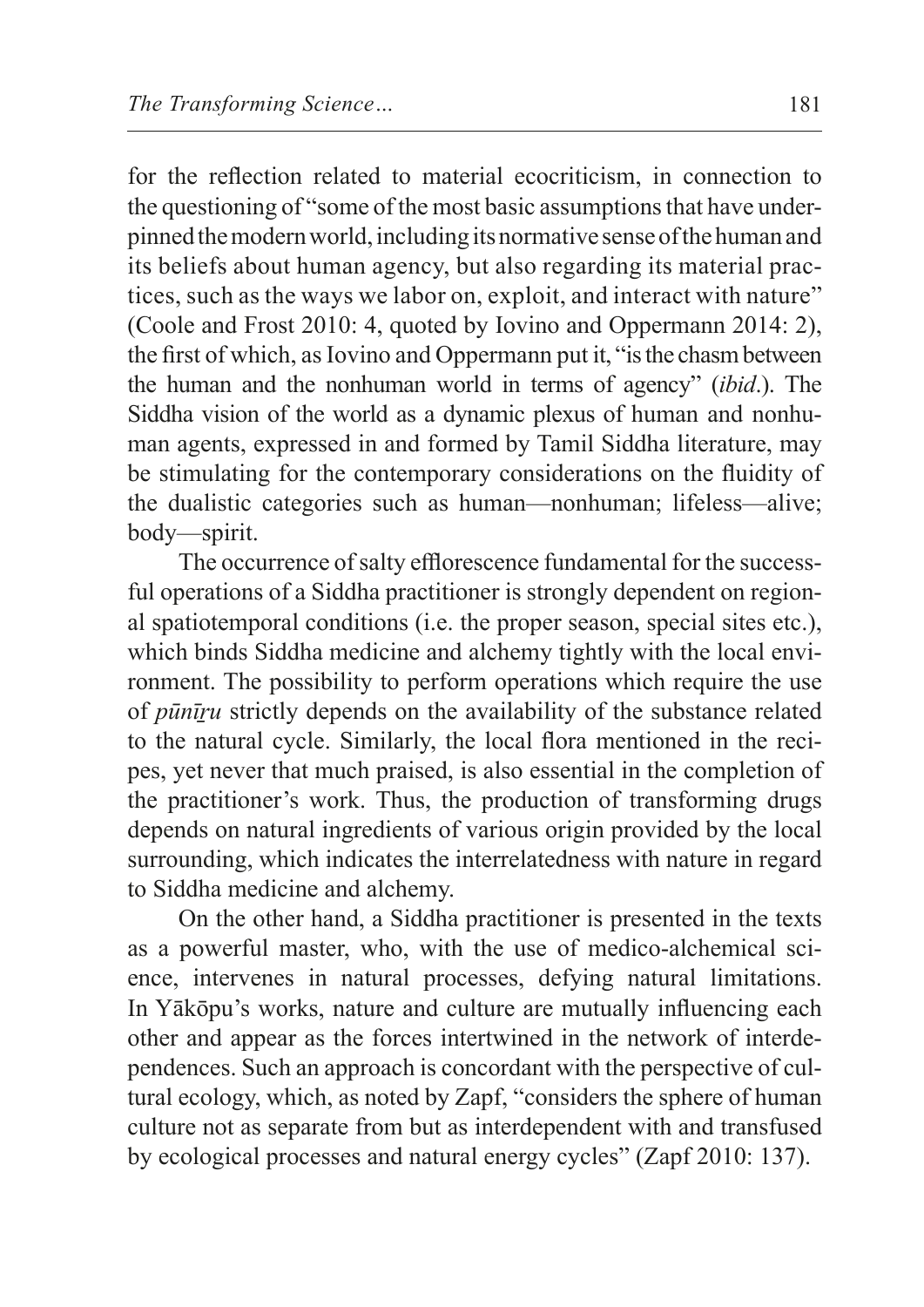for the reflection related to material ecocriticism, in connection to the questioning of "some of the most basic assumptions that have underpinned themodern world, including its normative sense of thehuman and its beliefs about human agency, but also regarding its material practices, such as the ways we labor on, exploit, and interact with nature" (Coole and Frost 2010: 4, quoted by Iovino and Oppermann 2014: 2), the first of which, as Iovino and Oppermann put it, "is the chasm between the human and the nonhuman world in terms of agency" (*ibid*.). The Siddha vision of the world as a dynamic plexus of human and nonhuman agents, expressed in and formed by Tamil Siddha literature, may be stimulating for the contemporary considerations on the fluidity of the dualistic categories such as human—nonhuman; lifeless—alive; body—spirit.

The occurrence of salty efflorescence fundamental for the successful operations of a Siddha practitioner is strongly dependent on regional spatiotemporal conditions (i.e. the proper season, special sites etc.), which binds Siddha medicine and alchemy tightly with the local environment. The possibility to perform operations which require the use of *pūnīṟu* strictly depends on the availability of the substance related to the natural cycle. Similarly, the local flora mentioned in the recipes, yet never that much praised, is also essential in the completion of the practitioner's work. Thus, the production of transforming drugs depends on natural ingredients of various origin provided by the local surrounding, which indicates the interrelatedness with nature in regard to Siddha medicine and alchemy.

On the other hand, a Siddha practitioner is presented in the texts as a powerful master, who, with the use of medico-alchemical science, intervenes in natural processes, defying natural limitations. In Yākōpu's works, nature and culture are mutually influencing each other and appear as the forces intertwined in the network of interdependences. Such an approach is concordant with the perspective of cultural ecology, which, as noted by Zapf, "considers the sphere of human culture not as separate from but as interdependent with and transfused by ecological processes and natural energy cycles" (Zapf 2010: 137).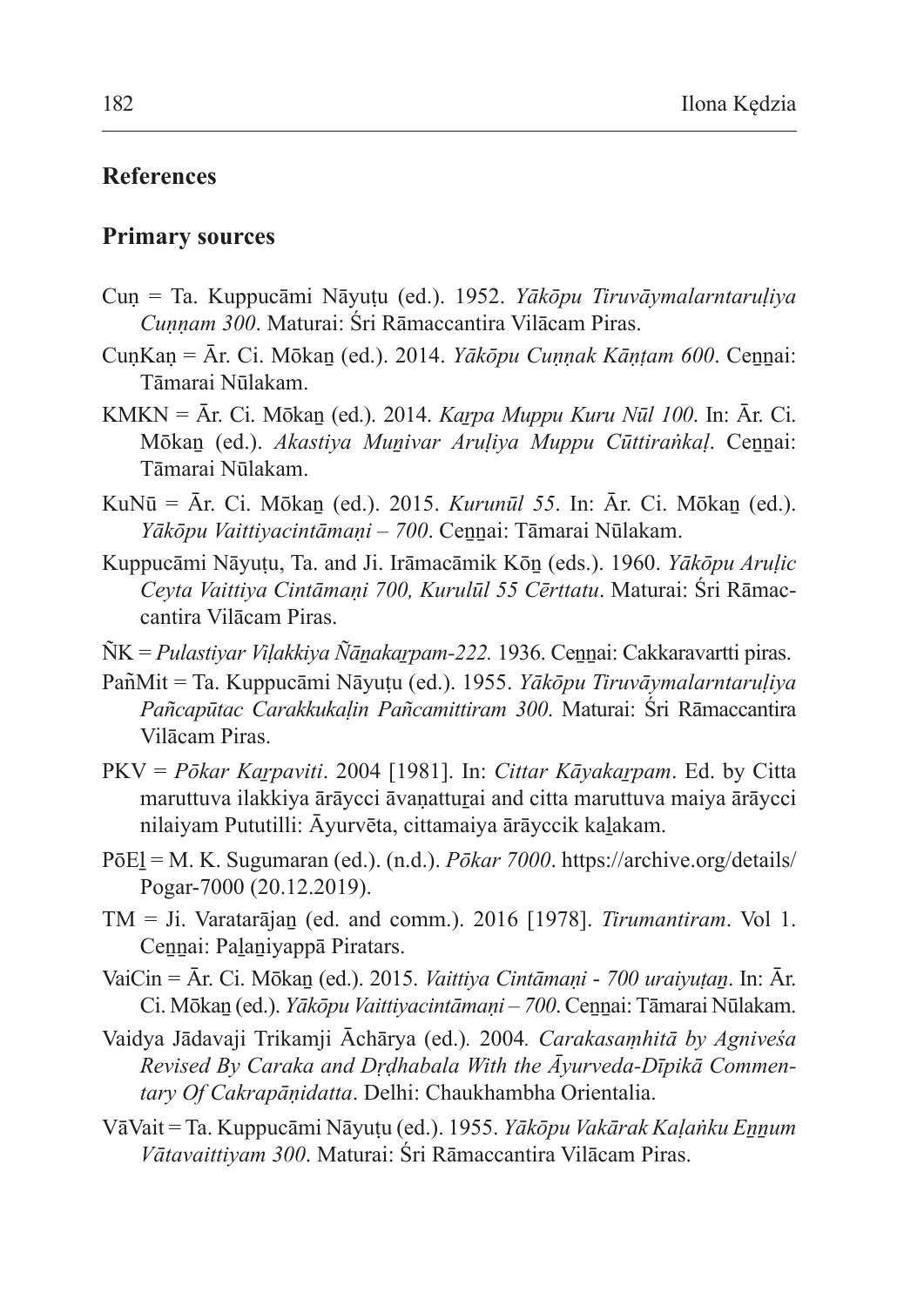### **References**

#### **Primary sources**

- Cuṇ = Ta. Kuppucāmi Nāyuṭu (ed.). 1952. *Yākōpu Tiruvāymalarntaruḷiya Cuṇṇam 300*. Maturai: Śri Rāmaccantira Vilācam Piras.
- CunKan = Ār. Ci. Mōkan (ed.). 2014. *Yākōpu Cunnak Kāntam 600*. Cennai: Tāmarai Nūlakam.
- KMKN = Ār. Ci. Mōkaṉ (ed.). 2014. *Kaṟpa Muppu Kuru Nūl 100*. In: Ār. Ci. Mōkaṉ (ed.). *Akastiya Muṉivar Aruḷiya Muppu Cūttiraṅkaḷ*. Ceṉṉai: Tāmarai Nūlakam.
- KuNū = Ār. Ci. Mōkaṉ (ed.). 2015. *Kurunūl 55*. In: Ār. Ci. Mōkaṉ (ed.). *Yākōpu Vaittiyacintāmaṇi – 700*. Ceṉṉai: Tāmarai Nūlakam.
- Kuppucāmi Nāyuṭu, Ta. and Ji. Irāmacāmik Kōṉ (eds.). 1960. *Yākōpu Aruḷic Ceyta Vaittiya Cintāmaṇi 700, Kurulūl 55 Cērttatu*. Maturai: Śri Rāmaccantira Vilācam Piras.
- ÑK = *Pulastiyar Viḷakkiya Ñāṉakaṟpam-222.* 1936. Ceṉṉai: Cakkaravartti piras.
- Pan͂Mit = Ta. Kuppucāmi Nāyuṭu (ed.). 1955. *Yākōpu Tiruvāymalarntaruḷiya Pañcapūtac Carakkukaḷin Pañcamittiram 300*. Maturai: Śri Rāmaccantira Vilācam Piras.
- PKV = *Pōkar Kaṟpaviti*. 2004 [1981]. In: *Cittar Kāyakaṟpam*. Ed. by Citta maruttuva ilakkiya ārāycci āvanatturai and citta maruttuva maiya ārāycci nilaiyam Pututilli: Āyurvēta, cittamaiya ārāyccik kaḻakam.
- PōEḻ = M. K. Sugumaran (ed.). (n.d.). *Pōkar 7000*. https://archive.org/details/ Pogar-7000 (20.12.2019).
- TM = Ji. Varatarājaṉ (ed. and comm.). 2016 [1978]. *Tirumantiram*. Vol 1. Cennai: Palaniyappā Piratars.
- VaiCin = Ār. Ci. Mōkaṉ (ed.). 2015. *Vaittiya Cintāmaṇi 700 uraiyuṭaṉ*. In: Ār. Ci. Mōkaṉ (ed.). *Yākōpu Vaittiyacintāmaṇi – 700*.Ceṉṉai: Tāmarai Nūlakam.
- Vaidya Jādavaji Trikamji Āchārya (ed.)*.* 2004*. Carakasaṃhitā by Agniveśa Revised By Caraka and Dṛḍhabala With the Āyurveda-Dīpikā Commentary Of Cakrapāṇidatta*. Delhi: Chaukhambha Orientalia.
- VāVait = Ta. Kuppucāmi Nāyuṭu (ed.). 1955. *Yākōpu Vakārak Kaḷaṅku Eṉṉum Vātavaittiyam 300*. Maturai: Śri Rāmaccantira Vilācam Piras.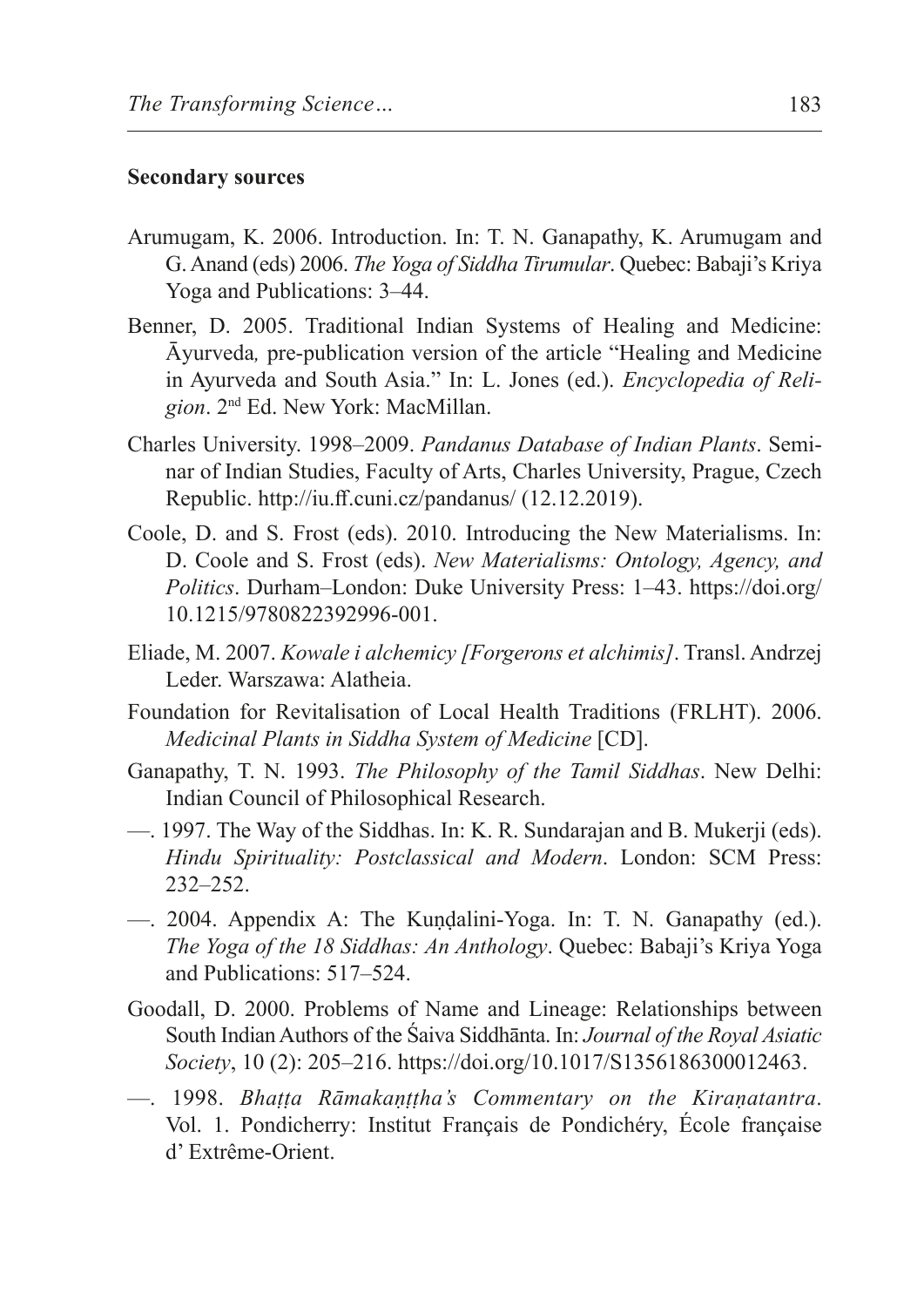#### **Secondary sources**

- Arumugam, K. 2006. Introduction. In: T. N. Ganapathy, K. Arumugam and G. Anand (eds) 2006. *The Yoga of Siddha Tirumular*. Quebec: Babaji's Kriya Yoga and Publications: 3–44.
- Benner, D. 2005. Traditional Indian Systems of Healing and Medicine: Āyurveda*,* pre-publication version of the article "Healing and Medicine in Ayurveda and South Asia." In: L. Jones (ed.). *Encyclopedia of Religion*. 2nd Ed. New York: MacMillan.
- Charles University. 1998–2009. *Pandanus Database of Indian Plants*. Seminar of Indian Studies, Faculty of Arts, Charles University, Prague, Czech Republic. http://iu.ff.cuni.cz/pandanus/ (12.12.2019).
- Coole, D. and S. Frost (eds). 2010. Introducing the New Materialisms. In: D. Coole and S. Frost (eds). *New Materialisms: Ontology, Agency, and Politics*. Durham–London: Duke University Press: 1–43. https://doi.org/ 10.1215/9780822392996-001.
- Eliade, M. 2007. *Kowale i alchemicy [Forgerons et alchimis]*. Transl. Andrzej Leder. Warszawa: Alatheia.
- Foundation for Revitalisation of Local Health Traditions (FRLHT). 2006. *Medicinal Plants in Siddha System of Medicine* [CD].
- Ganapathy, T. N. 1993. *The Philosophy of the Tamil Siddhas*. New Delhi: Indian Council of Philosophical Research.
- —. 1997. The Way of the Siddhas. In: K. R. Sundarajan and B. Mukerji (eds). *Hindu Spirituality: Postclassical and Modern*. London: SCM Press: 232–252.
- —. 2004. Appendix A: The Kuṇḍalini-Yoga. In: T. N. Ganapathy (ed.). *The Yoga of the 18 Siddhas: An Anthology*. Quebec: Babaji's Kriya Yoga and Publications: 517–524.
- Goodall, D. 2000. Problems of Name and Lineage: Relationships between South Indian Authors of the Śaiva Siddhānta. In: *Journal of the Royal Asiatic Society*, 10 (2): 205–216. https://doi.org/10.1017/S1356186300012463.
- —. 1998. *Bhaṭṭa Rāmakaṇṭṭha's Commentary on the Kiraṇatantra*. Vol. 1. Pondicherry: Institut Français de Pondichéry, École française d' Extrême-Orient.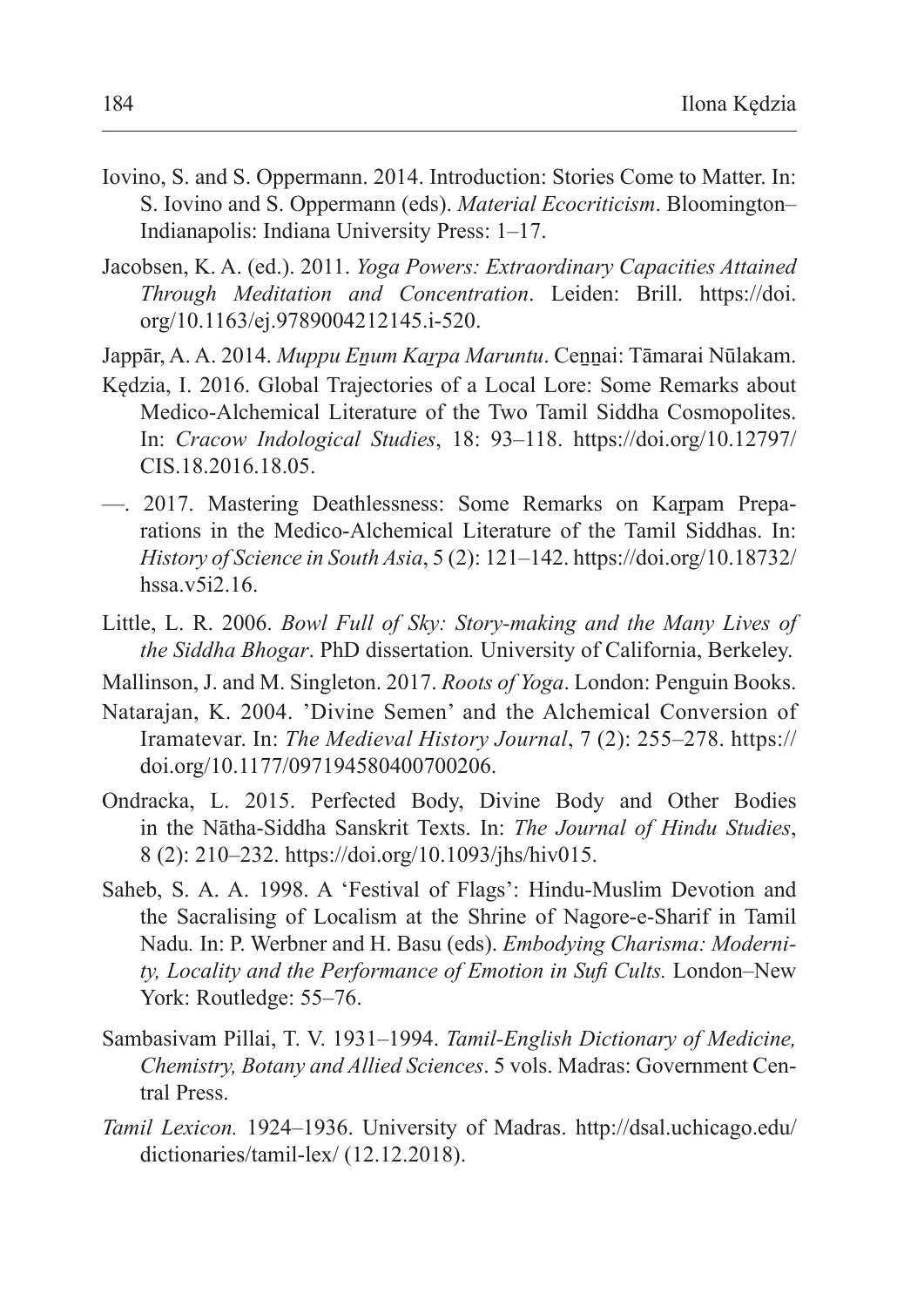- Iovino, S. and S. Oppermann. 2014. Introduction: Stories Come to Matter. In: S. Iovino and S. Oppermann (eds). *Material Ecocriticism*. Bloomington– Indianapolis: Indiana University Press: 1–17.
- Jacobsen, K. A. (ed.). 2011. *Yoga Powers: Extraordinary Capacities Attained Through Meditation and Concentration*. Leiden: Brill. https://doi. org/10.1163/ej.9789004212145.i-520.
- Jappār, A. A. 2014. *Muppu Eṉum Kaṟpa Maruntu*. Ceṉṉai: Tāmarai Nūlakam.
- Kędzia, I. 2016. Global Trajectories of a Local Lore: Some Remarks about Medico-Alchemical Literature of the Two Tamil Siddha Cosmopolites. In: *Cracow Indological Studies*, 18: 93–118. https://doi.org/10.12797/ CIS.18.2016.18.05.
- —. 2017. Mastering Deathlessness: Some Remarks on Karpam Preparations in the Medico-Alchemical Literature of the Tamil Siddhas. In: *History of Science in South Asia*, 5 (2): 121–142. https://doi.org/10.18732/ hssa.v5i2.16.
- Little, L. R. 2006. *Bowl Full of Sky: Story-making and the Many Lives of the Siddha Bhogar*. PhD dissertation*.* University of California, Berkeley.
- Mallinson, J. and M. Singleton. 2017. *Roots of Yoga*. London: Penguin Books.
- Natarajan, K. 2004. 'Divine Semen' and the Alchemical Conversion of Iramatevar. In: *The Medieval History Journal*, 7 (2): 255–278. https:// doi.org/10.1177/097194580400700206.
- Ondracka, L. 2015. Perfected Body, Divine Body and Other Bodies in the Nātha-Siddha Sanskrit Texts. In: *The Journal of Hindu Studies*, 8 (2): 210–232. https://doi.org/10.1093/jhs/hiv015.
- Saheb, S. A. A. 1998. A 'Festival of Flags': Hindu-Muslim Devotion and the Sacralising of Localism at the Shrine of Nagore-e-Sharif in Tamil Nadu*.* In: P. Werbner and H. Basu (eds). *Embodying Charisma: Modernity, Locality and the Performance of Emotion in Sufi Cults.* London–New York: Routledge: 55–76.
- Sambasivam Pillai, T. V. 1931–1994. *Tamil-English Dictionary of Medicine, Chemistry, Botany and Allied Sciences*. 5 vols. Madras: Government Central Press.
- *Tamil Lexicon.* 1924–1936. University of Madras. http://dsal.uchicago.edu/ dictionaries/tamil-lex/ (12.12.2018).